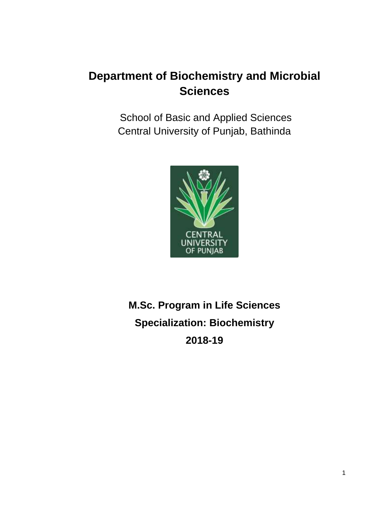School of Basic and Applied Sciences Central University of Punjab, Bathinda



# **M.Sc. Program in Life Sciences Specialization: Biochemistry 2018-19**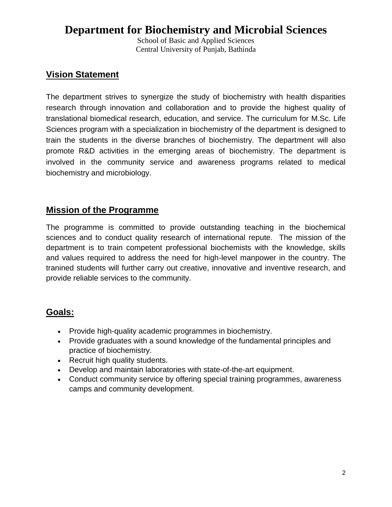School of Basic and Applied Sciences Central University of Punjab, Bathinda

### **Vision Statement**

The department strives to synergize the study of biochemistry with health disparities research through innovation and collaboration and to provide the highest quality of translational biomedical research, education, and service. The curriculum for M.Sc. Life Sciences program with a specialization in biochemistry of the department is designed to train the students in the diverse branches of biochemistry. The department will also promote R&D activities in the emerging areas of biochemistry. The department is involved in the community service and awareness programs related to medical biochemistry and microbiology.

### **Mission of the Programme**

The programme is committed to provide outstanding teaching in the biochemical sciences and to conduct quality research of international repute. The mission of the department is to train competent professional biochemists with the knowledge, skills and values required to address the need for high-level manpower in the country. The tranined students will further carry out creative, innovative and inventive research, and provide reliable services to the community.

### **Goals:**

- Provide high-quality academic programmes in biochemistry.
- Provide graduates with a sound knowledge of the fundamental principles and practice of biochemistry.
- Recruit high quality students.
- Develop and maintain laboratories with state-of-the-art equipment.
- Conduct community service by offering special training programmes, awareness camps and community development.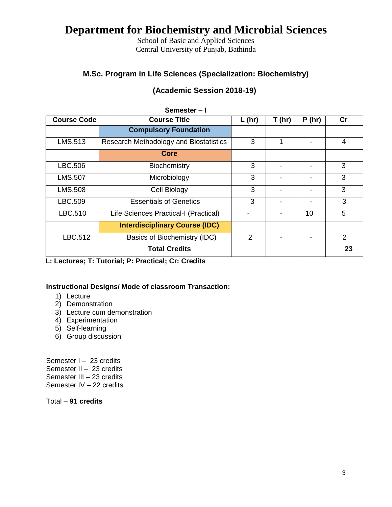School of Basic and Applied Sciences Central University of Punjab, Bathinda

### **M.Sc. Program in Life Sciences (Specialization: Biochemistry)**

| (Academic Session 2018-19) |  |  |
|----------------------------|--|--|
|----------------------------|--|--|

|                    | Semester-I                             |          |                          |       |               |
|--------------------|----------------------------------------|----------|--------------------------|-------|---------------|
| <b>Course Code</b> | <b>Course Title</b>                    | $L$ (hr) | T(hr)                    | P(hr) | cr            |
|                    | <b>Compulsory Foundation</b>           |          |                          |       |               |
| LMS.513            | Research Methodology and Biostatistics | 3        | 1                        |       | 4             |
|                    | Core                                   |          |                          |       |               |
| LBC.506            | <b>Biochemistry</b>                    | 3        |                          |       | 3             |
| <b>LMS.507</b>     | Microbiology                           | 3        | $\overline{\phantom{a}}$ |       | 3             |
| <b>LMS.508</b>     | Cell Biology                           | 3        |                          |       | 3             |
| LBC.509            | <b>Essentials of Genetics</b>          | 3        |                          |       | 3             |
| LBC.510            | Life Sciences Practical-I (Practical)  |          |                          | 10    | 5             |
|                    | <b>Interdisciplinary Course (IDC)</b>  |          |                          |       |               |
| LBC.512            | Basics of Biochemistry (IDC)           | 2        |                          |       | $\mathcal{P}$ |
|                    | <b>Total Credits</b>                   |          |                          |       | 23            |

 **L: Lectures; T: Tutorial; P: Practical; Cr: Credits**

### **Instructional Designs/ Mode of classroom Transaction:**

- 1) Lecture
- 2) Demonstration
- 3) Lecture cum demonstration
- 4) Experimentation
- 5) Self-learning
- 6) Group discussion

Semester I - 23 credits Semester II – 23 credits Semester III – 23 credits Semester IV – 22 credits

Total – **91 credits**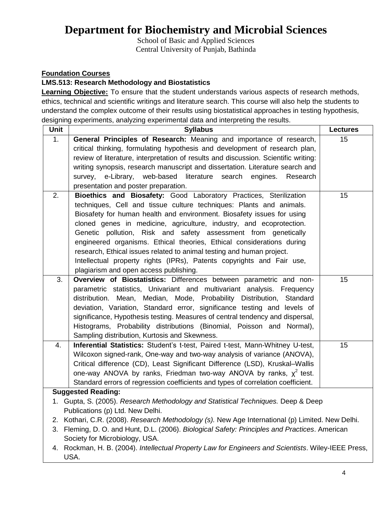School of Basic and Applied Sciences Central University of Punjab, Bathinda

### **Foundation Courses**

### **LMS.513: Research Methodology and Biostatistics**

**Learning Objective:** To ensure that the student understands various aspects of research methods, ethics, technical and scientific writings and literature search. This course will also help the students to understand the complex outcome of their results using biostatistical approaches in testing hypothesis, designing experiments, analyzing experimental data and interpreting the results.

| Unit             | <b>Syllabus</b>                                                                                                                      | <b>Lectures</b> |
|------------------|--------------------------------------------------------------------------------------------------------------------------------------|-----------------|
| 1.               | General Principles of Research: Meaning and importance of research,                                                                  | 15              |
|                  | critical thinking, formulating hypothesis and development of research plan,                                                          |                 |
|                  | review of literature, interpretation of results and discussion. Scientific writing:                                                  |                 |
|                  | writing synopsis, research manuscript and dissertation. Literature search and                                                        |                 |
|                  | e-Library, web-based literature search engines.<br>survey,<br>Research                                                               |                 |
|                  | presentation and poster preparation.                                                                                                 |                 |
| $\overline{2}$ . | Bioethics and Biosafety: Good Laboratory Practices, Sterilization                                                                    | 15              |
|                  | techniques, Cell and tissue culture techniques: Plants and animals.                                                                  |                 |
|                  | Biosafety for human health and environment. Biosafety issues for using                                                               |                 |
|                  | cloned genes in medicine, agriculture, industry, and ecoprotection.                                                                  |                 |
|                  | Genetic pollution, Risk and safety assessment from genetically                                                                       |                 |
|                  | engineered organisms. Ethical theories, Ethical considerations during                                                                |                 |
|                  | research, Ethical issues related to animal testing and human project.                                                                |                 |
|                  | Intellectual property rights (IPRs), Patents copyrights and Fair use,                                                                |                 |
|                  | plagiarism and open access publishing.                                                                                               |                 |
| 3.               | Overview of Biostatistics: Differences between parametric and non-                                                                   | 15              |
|                  | parametric statistics, Univariant and multivariant analysis. Frequency                                                               |                 |
|                  | distribution. Mean, Median, Mode, Probability Distribution, Standard                                                                 |                 |
|                  | deviation, Variation, Standard error, significance testing and levels of                                                             |                 |
|                  | significance, Hypothesis testing. Measures of central tendency and dispersal,                                                        |                 |
|                  | Histograms, Probability distributions (Binomial, Poisson and Normal),                                                                |                 |
|                  | Sampling distribution, Kurtosis and Skewness.                                                                                        |                 |
| 4.               | Inferential Statistics: Student's t-test, Paired t-test, Mann-Whitney U-test,                                                        | 15              |
|                  | Wilcoxon signed-rank, One-way and two-way analysis of variance (ANOVA),                                                              |                 |
|                  | Critical difference (CD), Least Significant Difference (LSD), Kruskal-Wallis                                                         |                 |
|                  | one-way ANOVA by ranks, Friedman two-way ANOVA by ranks, $\chi^2$ test.                                                              |                 |
|                  | Standard errors of regression coefficients and types of correlation coefficient.                                                     |                 |
|                  | <b>Suggested Reading:</b>                                                                                                            |                 |
|                  | 1. Gupta, S. (2005). Research Methodology and Statistical Techniques. Deep & Deep                                                    |                 |
|                  | Publications (p) Ltd. New Delhi.<br>2. Kothari, C.R. (2008). Research Methodology (s). New Age International (p) Limited. New Delhi. |                 |
|                  | 3. Fleming, D. O. and Hunt, D.L. (2006). Biological Safety: Principles and Practices. American                                       |                 |
|                  | Society for Microbiology, USA.                                                                                                       |                 |
|                  | 4. Rockman, H. B. (2004). Intellectual Property Law for Engineers and Scientists. Wiley-IEEE Press,                                  |                 |
|                  | USA.                                                                                                                                 |                 |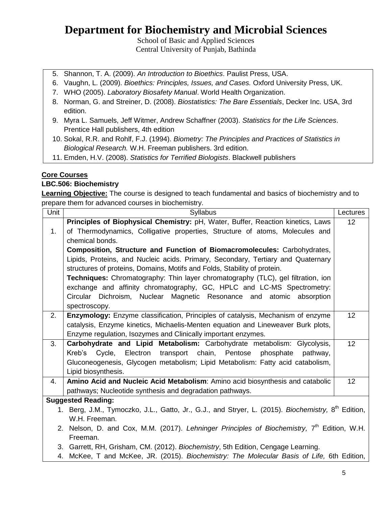School of Basic and Applied Sciences Central University of Punjab, Bathinda

- 5. Shannon, T. A. (2009). *An Introduction to Bioethics*. Paulist Press, USA.
- 6. Vaughn, L. (2009). *Bioethics: Principles, Issues, and Cases.* Oxford University Press, UK.
- 7. WHO (2005). *Laboratory Biosafety Manual*. World Health Organization.
- 8. Norman, G. and Streiner, D. (2008). *Biostatistics: The Bare Essentials*, Decker Inc. USA, 3rd edition.
- 9. Myra L. Samuels, Jeff Witmer, Andrew Schaffner (2003). *Statistics for the Life Sciences*. Prentice Hall publishers, 4th edition
- 10. Sokal, R.R. and Rohlf, F.J. (1994). *Biometry: The Principles and Practices of Statistics in Biological Research.* W.H. Freeman publishers. 3rd edition.
- 11. Emden, H.V. (2008). *Statistics for Terrified Biologists*. Blackwell publishers

### **Core Courses**

### **LBC.506: Biochemistry**

**Learning Objective:** The course is designed to teach fundamental and basics of biochemistry and to prepare them for advanced courses in biochemistry.

| Unit | <b>Syllabus</b>                                                                                                | Lectures |
|------|----------------------------------------------------------------------------------------------------------------|----------|
|      | Principles of Biophysical Chemistry: pH, Water, Buffer, Reaction kinetics, Laws                                | 12       |
| 1.   | of Thermodynamics, Colligative properties, Structure of atoms, Molecules and                                   |          |
|      | chemical bonds.                                                                                                |          |
|      | Composition, Structure and Function of Biomacromolecules: Carbohydrates,                                       |          |
|      | Lipids, Proteins, and Nucleic acids. Primary, Secondary, Tertiary and Quaternary                               |          |
|      | structures of proteins, Domains, Motifs and Folds, Stability of protein.                                       |          |
|      | Techniques: Chromatography: Thin layer chromatography (TLC), gel filtration, ion                               |          |
|      | exchange and affinity chromatography, GC, HPLC and LC-MS Spectrometry:                                         |          |
|      | Circular Dichroism, Nuclear Magnetic Resonance and atomic absorption                                           |          |
|      | spectroscopy.                                                                                                  |          |
| 2.   | Enzymology: Enzyme classification, Principles of catalysis, Mechanism of enzyme                                | 12       |
|      | catalysis, Enzyme kinetics, Michaelis-Menten equation and Lineweaver Burk plots,                               |          |
|      | Enzyme regulation, Isozymes and Clinically important enzymes.                                                  |          |
| 3.   | Carbohydrate and Lipid Metabolism: Carbohydrate metabolism: Glycolysis,                                        | 12       |
|      | Kreb's Cycle, Electron transport chain, Pentose<br>phosphate<br>pathway,                                       |          |
|      | Gluconeogenesis, Glycogen metabolism; Lipid Metabolism: Fatty acid catabolism,                                 |          |
|      | Lipid biosynthesis.                                                                                            |          |
| 4.   | Amino Acid and Nucleic Acid Metabolism: Amino acid biosynthesis and catabolic                                  | 12       |
|      | pathways; Nucleotide synthesis and degradation pathways.                                                       |          |
|      | <b>Suggested Reading:</b>                                                                                      |          |
|      | 1. Berg, J.M., Tymoczko, J.L., Gatto, Jr., G.J., and Stryer, L. (2015). Biochemistry, 8 <sup>th</sup> Edition, |          |
|      | W.H. Freeman.                                                                                                  |          |
|      | 2. Nelson, D. and Cox, M.M. (2017). Lehninger Principles of Biochemistry, 7 <sup>th</sup> Edition, W.H.        |          |
|      | Freeman.                                                                                                       |          |
|      | 3. Garrett, RH, Grisham, CM. (2012). Biochemistry, 5th Edition, Cengage Learning.                              |          |
|      | 4. McKee, T and McKee, JR. (2015). Biochemistry: The Molecular Basis of Life, 6th Edition,                     |          |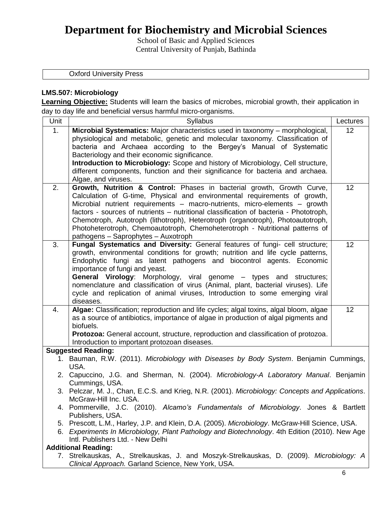School of Basic and Applied Sciences Central University of Punjab, Bathinda

Oxford University Press

### **LMS.507: Microbiology**

**Learning Objective:** Students will learn the basics of microbes, microbial growth, their application in day to day life and beneficial versus harmful micro-organisms.

| Unit | <b>Syllabus</b>                                                                                                                                         | Lectures |
|------|---------------------------------------------------------------------------------------------------------------------------------------------------------|----------|
| 1.   | Microbial Systematics: Major characteristics used in taxonomy - morphological,                                                                          | 12       |
|      | physiological and metabolic, genetic and molecular taxonomy. Classification of                                                                          |          |
|      | bacteria and Archaea according to the Bergey's Manual of Systematic                                                                                     |          |
|      | Bacteriology and their economic significance.                                                                                                           |          |
|      | Introduction to Microbiology: Scope and history of Microbiology, Cell structure,                                                                        |          |
|      | different components, function and their significance for bacteria and archaea.<br>Algae, and viruses.                                                  |          |
| 2.   | Growth, Nutrition & Control: Phases in bacterial growth, Growth Curve,                                                                                  | 12       |
|      | Calculation of G-time, Physical and environmental requirements of growth,                                                                               |          |
|      | Microbial nutrient requirements - macro-nutrients, micro-elements - growth                                                                              |          |
|      | factors - sources of nutrients – nutritional classification of bacteria - Phototroph,                                                                   |          |
|      | Chemotroph, Autotroph (lithotroph), Heterotroph (organotroph), Photoautotroph,                                                                          |          |
|      | Photoheterotroph, Chemoautotroph, Chemoheterotroph - Nutritional patterns of                                                                            |          |
|      | pathogens - Saprophytes - Auxotroph                                                                                                                     |          |
| 3.   | Fungal Systematics and Diversity: General features of fungi- cell structure;                                                                            | 12       |
|      | growth, environmental conditions for growth; nutrition and life cycle patterns,                                                                         |          |
|      | Endophytic fungi as latent pathogens and biocontrol agents. Economic                                                                                    |          |
|      | importance of fungi and yeast.                                                                                                                          |          |
|      | General Virology: Morphology, viral genome - types and structures;<br>nomenclature and classification of virus (Animal, plant, bacterial viruses). Life |          |
|      | cycle and replication of animal viruses, Introduction to some emerging viral                                                                            |          |
|      | diseases.                                                                                                                                               |          |
| 4.   | Algae: Classification; reproduction and life cycles; algal toxins, algal bloom, algae                                                                   | 12       |
|      | as a source of antibiotics, importance of algae in production of algal pigments and                                                                     |          |
|      | biofuels.                                                                                                                                               |          |
|      | Protozoa: General account, structure, reproduction and classification of protozoa.                                                                      |          |
|      | Introduction to important protozoan diseases.                                                                                                           |          |
|      | <b>Suggested Reading:</b>                                                                                                                               |          |
|      | 1. Bauman, R.W. (2011). Microbiology with Diseases by Body System. Benjamin Cummings,<br>USA.                                                           |          |
|      | 2. Capuccino, J.G. and Sherman, N. (2004). Microbiology-A Laboratory Manual. Benjamin                                                                   |          |
|      | Cummings, USA.                                                                                                                                          |          |
|      | 3. Pelczar, M. J., Chan, E.C.S. and Krieg, N.R. (2001). Microbiology: Concepts and Applications.<br>McGraw-Hill Inc. USA.                               |          |
|      | 4. Pommerville, J.C. (2010). Alcamo's Fundamentals of Microbiology. Jones & Bartlett                                                                    |          |
|      | Publishers, USA.                                                                                                                                        |          |
|      | 5. Prescott, L.M., Harley, J.P. and Klein, D.A. (2005). Microbiology. McGraw-Hill Science, USA.                                                         |          |
|      | 6. Experiments In Microbiology, Plant Pathology and Biotechnology. 4th Edition (2010). New Age                                                          |          |
|      | Intl. Publishers Ltd. - New Delhi                                                                                                                       |          |
|      | <b>Additional Reading:</b>                                                                                                                              |          |
|      | 7. Strelkauskas, A., Strelkauskas, J. and Moszyk-Strelkauskas, D. (2009). Microbiology: A                                                               |          |
|      | Clinical Approach. Garland Science, New York, USA.                                                                                                      |          |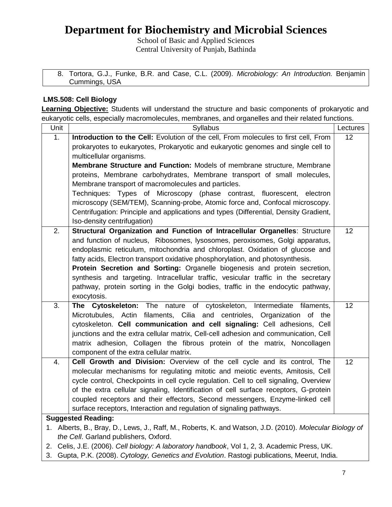School of Basic and Applied Sciences Central University of Punjab, Bathinda

| 8. Tortora, G.J., Funke, B.R. and Case, C.L. (2009). Microbiology: An Introduction. Benjamin |  |  |  |  |
|----------------------------------------------------------------------------------------------|--|--|--|--|
| Cummings, USA                                                                                |  |  |  |  |

### **LMS.508: Cell Biology**

**Learning Objective:** Students will understand the structure and basic components of prokaryotic and eukaryotic cells, especially macromolecules, membranes, and organelles and their related functions.

| 1.<br>Introduction to the Cell: Evolution of the cell, From molecules to first cell, From                                  | 12 |
|----------------------------------------------------------------------------------------------------------------------------|----|
|                                                                                                                            |    |
| prokaryotes to eukaryotes, Prokaryotic and eukaryotic genomes and single cell to                                           |    |
| multicellular organisms.                                                                                                   |    |
| Membrane Structure and Function: Models of membrane structure, Membrane                                                    |    |
| proteins, Membrane carbohydrates, Membrane transport of small molecules,                                                   |    |
| Membrane transport of macromolecules and particles.                                                                        |    |
| Techniques: Types of Microscopy (phase contrast, fluorescent, electron                                                     |    |
| microscopy (SEM/TEM), Scanning-probe, Atomic force and, Confocal microscopy.                                               |    |
| Centrifugation: Principle and applications and types (Differential, Density Gradient,                                      |    |
| Iso-density centrifugation)                                                                                                |    |
| 2.<br>Structural Organization and Function of Intracellular Organelles: Structure                                          | 12 |
| and function of nucleus, Ribosomes, lysosomes, peroxisomes, Golgi apparatus,                                               |    |
| endoplasmic reticulum, mitochondria and chloroplast. Oxidation of glucose and                                              |    |
| fatty acids, Electron transport oxidative phosphorylation, and photosynthesis.                                             |    |
| Protein Secretion and Sorting: Organelle biogenesis and protein secretion,                                                 |    |
| synthesis and targeting. Intracellular traffic, vesicular traffic in the secretary                                         |    |
| pathway, protein sorting in the Golgi bodies, traffic in the endocytic pathway,                                            |    |
| exocytosis.                                                                                                                |    |
| $\overline{3}$ .<br>The Cytoskeleton: The nature of cytoskeleton, Intermediate filaments,                                  | 12 |
| Microtubules, Actin filaments, Cilia and centrioles, Organization of the                                                   |    |
| cytoskeleton. Cell communication and cell signaling: Cell adhesions, Cell                                                  |    |
| junctions and the extra cellular matrix, Cell-cell adhesion and communication, Cell                                        |    |
| matrix adhesion, Collagen the fibrous protein of the matrix, Noncollagen                                                   |    |
| component of the extra cellular matrix.<br>Cell Growth and Division: Overview of the cell cycle and its control, The<br>4. | 12 |
| molecular mechanisms for regulating mitotic and meiotic events, Amitosis, Cell                                             |    |
| cycle control, Checkpoints in cell cycle regulation. Cell to cell signaling, Overview                                      |    |
| of the extra cellular signaling, Identification of cell surface receptors, G-protein                                       |    |
| coupled receptors and their effectors, Second messengers, Enzyme-linked cell                                               |    |
| surface receptors, Interaction and regulation of signaling pathways.                                                       |    |
| <b>Suggested Reading:</b>                                                                                                  |    |
| 1. Alberts, B., Bray, D., Lews, J., Raff, M., Roberts, K. and Watson, J.D. (2010). Molecular Biology of                    |    |
| the Cell. Garland publishers, Oxford.                                                                                      |    |
| 2. Celis, J.E. (2006). Cell biology: A laboratory handbook, Vol 1, 2, 3. Academic Press, UK.                               |    |

3. Gupta, P.K. (2008). *Cytology, Genetics and Evolution*. Rastogi publications, Meerut, India.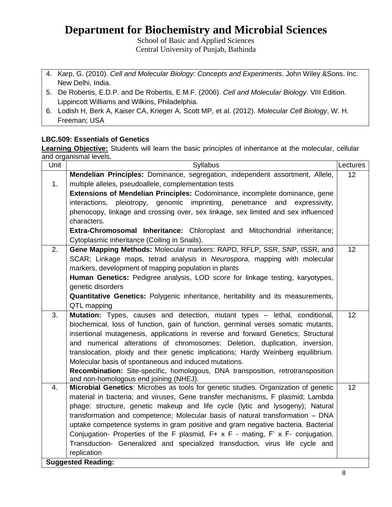School of Basic and Applied Sciences Central University of Punjab, Bathinda

- 4. Karp, G. (2010). *Cell and Molecular Biology: Concepts and Experiments*. John Wiley &Sons. Inc. New Delhi, India.
- 5. De Robertis, E.D.P. and De Robertis, E.M.F. (2006). *Cell and Molecular Biology*. VIII Edition. Lippincott Williams and Wilkins, Philadelphia.
- 6. Lodish H, Berk A, Kaiser CA, Krieger A, Scott MP, et al. (2012). *Molecular Cell Biology*, W. H. Freeman; USA

### **LBC.509: Essentials of Genetics**

**Learning Objective:** Students will learn the basic principles of inheritance at the molecular, cellular and organismal levels.

| Unit | <b>Syllabus</b>                                                                                                                          | Lectures |
|------|------------------------------------------------------------------------------------------------------------------------------------------|----------|
|      | Mendelian Principles: Dominance, segregation, independent assortment, Allele,                                                            | 12       |
| 1.   | multiple alleles, pseudoallele, complementation tests                                                                                    |          |
|      | <b>Extensions of Mendelian Principles:</b> Codominance, incomplete dominance, gene                                                       |          |
|      | pleiotropy, genomic imprinting,<br>interactions,<br>penetrance<br>and<br>expressivity,                                                   |          |
|      | phenocopy, linkage and crossing over, sex linkage, sex limited and sex influenced<br>characters.                                         |          |
|      | Extra-Chromosomal Inheritance: Chloroplast and Mitochondrial inheritance;                                                                |          |
|      | Cytoplasmic inheritance (Coiling in Snails).                                                                                             |          |
| 2.   | Gene Mapping Methods: Molecular markers: RAPD, RFLP, SSR, SNP, ISSR, and                                                                 | 12       |
|      | SCAR; Linkage maps, tetrad analysis in Neurospora, mapping with molecular                                                                |          |
|      | markers, development of mapping population in plants                                                                                     |          |
|      | Human Genetics: Pedigree analysis, LOD score for linkage testing, karyotypes,                                                            |          |
|      | genetic disorders                                                                                                                        |          |
|      | <b>Quantitative Genetics:</b> Polygenic inheritance, heritability and its measurements,                                                  |          |
|      | QTL mapping                                                                                                                              |          |
| 3.   | Mutation: Types, causes and detection, mutant types - lethal, conditional,                                                               | 12       |
|      | biochemical, loss of function, gain of function, germinal verses somatic mutants,                                                        |          |
|      | insertional mutagenesis, applications in reverse and forward Genetics; Structural                                                        |          |
|      | and numerical alterations of chromosomes: Deletion, duplication, inversion,                                                              |          |
|      | translocation, ploidy and their genetic implications; Hardy Weinberg equilibrium.                                                        |          |
|      | Molecular basis of spontaneous and induced mutations.<br>Recombination: Site-specific, homologous, DNA transposition, retrotransposition |          |
|      | and non-homologous end joining (NHEJ).                                                                                                   |          |
| 4.   | Microbial Genetics: Microbes as tools for genetic studies. Organization of genetic                                                       | 12       |
|      | material in bacteria; and viruses, Gene transfer mechanisms, F plasmid; Lambda                                                           |          |
|      | phage: structure, genetic makeup and life cycle (lytic and lysogeny); Natural                                                            |          |
|      | transformation and competence; Molecular basis of natural transformation - DNA                                                           |          |
|      | uptake competence systems in gram positive and gram negative bacteria. Bacterial                                                         |          |
|      | Conjugation- Properties of the F plasmid, F+ x F - mating, F' x F- conjugation.                                                          |          |
|      | Transduction- Generalized and specialized transduction, virus life cycle and                                                             |          |
|      | replication                                                                                                                              |          |
|      | <b>Suggested Reading:</b>                                                                                                                |          |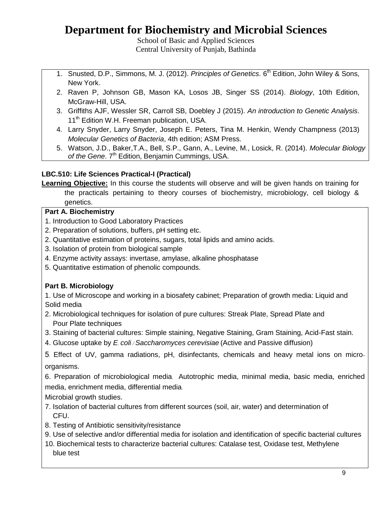School of Basic and Applied Sciences Central University of Punjab, Bathinda

- 1. Snusted, D.P., Simmons, M. J. (2012). *Principles of Genetics*. 6<sup>th</sup> Edition, John Wiley & Sons, New York.
- 2. Raven P, Johnson GB, Mason KA, Losos JB, Singer SS (2014). *Biology*, 10th Edition, McGraw-Hill, USA.
- 3. Griffiths AJF, Wessler SR, Carroll SB, Doebley J (2015). *An introduction to Genetic Analysis*. 11<sup>th</sup> Edition W.H. Freeman publication, USA.
- 4. Larry Snyder, Larry Snyder, Joseph E. Peters, Tina M. Henkin, Wendy Champness (2013) *Molecular Genetics of Bacteria*, 4th edition; ASM Press.
- 5. Watson, J.D., Baker,T.A., Bell, S.P., Gann, A., Levine, M., Losick, R. (2014). *Molecular Biology*  of the Gene. 7<sup>th</sup> Edition, Benjamin Cummings, USA.

### **LBC.510: Life Sciences Practical-I (Practical)**

**Learning Objective:** In this course the students will observe and will be given hands on training for the practicals pertaining to theory courses of biochemistry, microbiology, cell biology & genetics.

### **Part A. Biochemistry**

- 1. Introduction to Good Laboratory Practices
- 2. Preparation of solutions, buffers, pH setting etc.
- 2. Quantitative estimation of proteins, sugars, total lipids and amino acids.
- 3. Isolation of protein from biological sample
- 4. Enzyme activity assays: invertase, amylase, alkaline phosphatase
- 5. Quantitative estimation of phenolic compounds.

### **Part B. Microbiology**

1. Use of Microscope and working in a biosafety cabinet; Preparation of growth media: Liquid and Solid media

- 2. Microbiological techniques for isolation of pure cultures: Streak Plate, Spread Plate and Pour Plate techniques
- 3. Staining of bacterial cultures: Simple staining, Negative Staining, Gram Staining, Acid-Fast stain.
- 4. Glucose uptake by *E. coli / Saccharomyces cerevisiae* (Active and Passive diffusion)

5. Effect of UV, gamma radiations, pH, disinfectants, chemicals and heavy metal ions on microorganisms.

6. Preparation of microbiological media. Autotrophic media, minimal media, basic media, enriched media, enrichment media, differential media.

Microbial growth studies.

- 7. Isolation of bacterial cultures from different sources (soil, air, water) and determination of CFU.
- 8. Testing of Antibiotic sensitivity/resistance
- 9. Use of selective and/or differential media for isolation and identification of specific bacterial cultures
- 10. Biochemical tests to characterize bacterial cultures: Catalase test, Oxidase test, Methylene blue test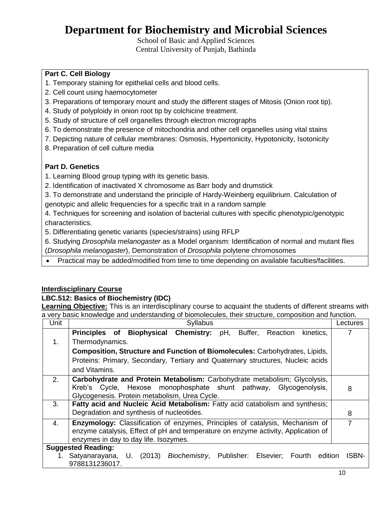School of Basic and Applied Sciences Central University of Punjab, Bathinda

### **Part C. Cell Biology**

- 1. Temporary staining for epithelial cells and blood cells.
- 2. Cell count using haemocytometer
- 3. Preparations of temporary mount and study the different stages of Mitosis (Onion root tip).
- 4. Study of polyploidy in onion root tip by colchicine treatment.
- 5. Study of structure of cell organelles through electron micrographs
- 6. To demonstrate the presence of mitochondria and other cell organelles using vital stains
- 7. Depicting nature of cellular membranes: Osmosis, Hypertonicity, Hypotonicity, Isotonicity
- 8. Preparation of cell culture media

### **Part D. Genetics**

- 1. Learning Blood group typing with its genetic basis.
- 2. Identification of inactivated X chromosome as Barr body and drumstick
- 3. To demonstrate and understand the principle of Hardy-Weinberg equilibrium. Calculation of genotypic and allelic frequencies for a specific trait in a random sample
- 4. Techniques for screening and isolation of bacterial cultures with specific phenotypic/genotypic characteristics.
- 5. Differentiating genetic variants (species/strains) using RFLP

6. Studying *Drosophila melanogaster* as a Model organism: Identification of normal and mutant flies (*Drosophila melanogaster*), Demonstration of *Drosophila* polytene chromosomes

Practical may be added/modified from time to time depending on available faculties/facilities.

### **Interdisciplinary Course**

### **LBC.512: Basics of Biochemistry (IDC)**

**Learning Objective:** This is an interdisciplinary course to acquaint the students of different streams with a very basic knowledge and understanding of biomolecules, their structure, composition and function.

| Unit | Syllabus                                                                           | Lectures |
|------|------------------------------------------------------------------------------------|----------|
|      | Principles of Biophysical Chemistry:<br>pH,<br>Reaction<br>Buffer,<br>kinetics,    | 7        |
| 1.   | Thermodynamics.                                                                    |          |
|      | <b>Composition, Structure and Function of Biomolecules: Carbohydrates, Lipids,</b> |          |
|      | Proteins: Primary, Secondary, Tertiary and Quaternary structures, Nucleic acids    |          |
|      | and Vitamins.                                                                      |          |
| 2.   | Carbohydrate and Protein Metabolism: Carbohydrate metabolism; Glycolysis,          |          |
|      | Kreb's Cycle, Hexose monophosphate shunt pathway, Glycogenolysis,                  | 8        |
|      | Glycogenesis. Protein metabolism, Urea Cycle.                                      |          |
| 3.   | Fatty acid and Nucleic Acid Metabolism: Fatty acid catabolism and synthesis;       |          |
|      | Degradation and synthesis of nucleotides.                                          | 8        |
| 4.   | Enzymology: Classification of enzymes, Principles of catalysis, Mechanism of       | 7        |
|      | enzyme catalysis, Effect of pH and temperature on enzyme activity, Application of  |          |
|      | enzymes in day to day life. Isozymes.                                              |          |
|      | <b>Suggested Reading:</b>                                                          |          |
|      | 1. Satyanarayana, U. (2013) Biochemistry, Publisher: Elsevier; Fourth edition      | ISBN-    |
|      | 9788131236017.                                                                     |          |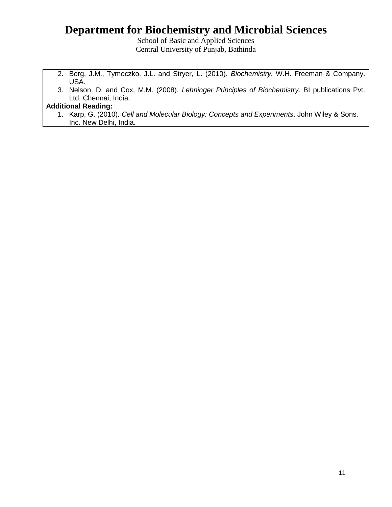School of Basic and Applied Sciences Central University of Punjab, Bathinda

- 2. Berg, J.M., Tymoczko, J.L. and Stryer, L. (2010). *Biochemistry.* W.H. Freeman & Company. USA.
- 3. Nelson, D. and Cox, M.M. (2008). *Lehninger Principles of Biochemistry*. BI publications Pvt. Ltd. Chennai, India.

### **Additional Reading:**

1. Karp, G. (2010). *Cell and Molecular Biology: Concepts and Experiments*. John Wiley & Sons. Inc. New Delhi, India.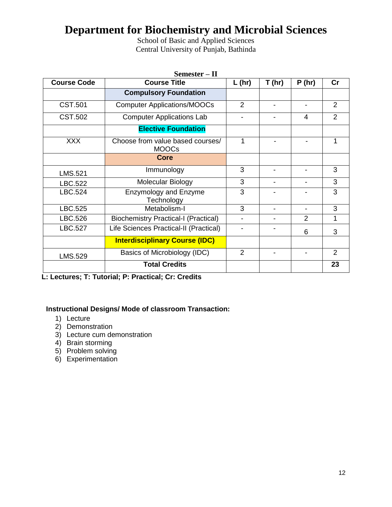School of Basic and Applied Sciences Central University of Punjab, Bathinda

|                    | $Semester - II$                                  |                          |                          |                          |                |
|--------------------|--------------------------------------------------|--------------------------|--------------------------|--------------------------|----------------|
| <b>Course Code</b> | <b>Course Title</b>                              | $L$ (hr)                 | T(hr)                    | P(hr)                    | cr             |
|                    | <b>Compulsory Foundation</b>                     |                          |                          |                          |                |
| <b>CST.501</b>     | <b>Computer Applications/MOOCs</b>               | 2                        | $\blacksquare$           | $\overline{\phantom{a}}$ | $\overline{2}$ |
| CST.502            | <b>Computer Applications Lab</b>                 |                          |                          | 4                        | $\overline{2}$ |
|                    | <b>Elective Foundation</b>                       |                          |                          |                          |                |
| <b>XXX</b>         | Choose from value based courses/<br><b>MOOCs</b> | 1                        |                          |                          | 1              |
|                    | <b>Core</b>                                      |                          |                          |                          |                |
| <b>LMS.521</b>     | Immunology                                       | 3                        | $\overline{\phantom{0}}$ |                          | 3              |
| LBC.522            | Molecular Biology                                | 3                        | $\overline{\phantom{0}}$ |                          | 3              |
| LBC.524            | <b>Enzymology and Enzyme</b><br>Technology       | 3                        |                          |                          | 3              |
| LBC.525            | Metabolism-I                                     | 3                        | $\overline{\phantom{0}}$ |                          | 3              |
| LBC.526            | <b>Biochemistry Practical-I (Practical)</b>      |                          |                          | $\mathcal{P}$            | 1              |
| LBC.527            | Life Sciences Practical-II (Practical)           | $\overline{\phantom{a}}$ | -                        | 6                        | 3              |
|                    | <b>Interdisciplinary Course (IDC)</b>            |                          |                          |                          |                |
| LMS.529            | Basics of Microbiology (IDC)                     | $\overline{2}$           | $\blacksquare$           |                          | $\overline{2}$ |
|                    | <b>Total Credits</b>                             |                          |                          |                          | 23             |

**L: Lectures; T: Tutorial; P: Practical; Cr: Credits**

### **Instructional Designs/ Mode of classroom Transaction:**

- 1) Lecture
- 2) Demonstration
- 3) Lecture cum demonstration
- 4) Brain storming
- 5) Problem solving
- 6) Experimentation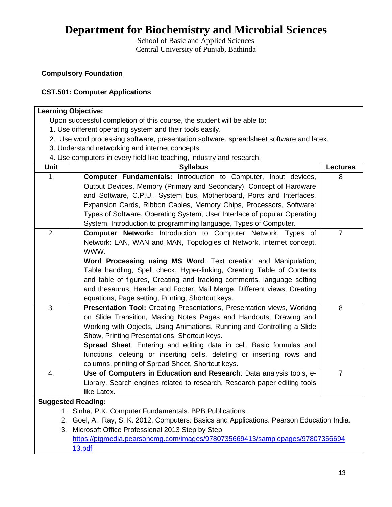School of Basic and Applied Sciences Central University of Punjab, Bathinda

### **Compulsory Foundation**

### **CST.501: Computer Applications**

|      | <b>Learning Objective:</b>                                                                 |                 |  |  |  |  |
|------|--------------------------------------------------------------------------------------------|-----------------|--|--|--|--|
|      | Upon successful completion of this course, the student will be able to:                    |                 |  |  |  |  |
|      | 1. Use different operating system and their tools easily.                                  |                 |  |  |  |  |
|      | 2. Use word processing software, presentation software, spreadsheet software and latex.    |                 |  |  |  |  |
|      | 3. Understand networking and internet concepts.                                            |                 |  |  |  |  |
|      | 4. Use computers in every field like teaching, industry and research.                      |                 |  |  |  |  |
| Unit | <b>Syllabus</b>                                                                            | <b>Lectures</b> |  |  |  |  |
| 1.   | Computer Fundamentals: Introduction to Computer, Input devices,                            | 8               |  |  |  |  |
|      | Output Devices, Memory (Primary and Secondary), Concept of Hardware                        |                 |  |  |  |  |
|      | and Software, C.P.U., System bus, Motherboard, Ports and Interfaces,                       |                 |  |  |  |  |
|      | Expansion Cards, Ribbon Cables, Memory Chips, Processors, Software:                        |                 |  |  |  |  |
|      | Types of Software, Operating System, User Interface of popular Operating                   |                 |  |  |  |  |
|      | System, Introduction to programming language, Types of Computer.                           |                 |  |  |  |  |
| 2.   | <b>Computer Network:</b> Introduction to Computer Network, Types of                        | $\overline{7}$  |  |  |  |  |
|      | Network: LAN, WAN and MAN, Topologies of Network, Internet concept,                        |                 |  |  |  |  |
|      | WWW.                                                                                       |                 |  |  |  |  |
|      | Word Processing using MS Word: Text creation and Manipulation;                             |                 |  |  |  |  |
|      | Table handling; Spell check, Hyper-linking, Creating Table of Contents                     |                 |  |  |  |  |
|      | and table of figures, Creating and tracking comments, language setting                     |                 |  |  |  |  |
|      | and thesaurus, Header and Footer, Mail Merge, Different views, Creating                    |                 |  |  |  |  |
|      | equations, Page setting, Printing, Shortcut keys.                                          |                 |  |  |  |  |
| 3.   | Presentation Tool: Creating Presentations, Presentation views, Working                     | 8               |  |  |  |  |
|      | on Slide Transition, Making Notes Pages and Handouts, Drawing and                          |                 |  |  |  |  |
|      | Working with Objects, Using Animations, Running and Controlling a Slide                    |                 |  |  |  |  |
|      | Show, Printing Presentations, Shortcut keys.                                               |                 |  |  |  |  |
|      | Spread Sheet: Entering and editing data in cell, Basic formulas and                        |                 |  |  |  |  |
|      | functions, deleting or inserting cells, deleting or inserting rows and                     |                 |  |  |  |  |
|      | columns, printing of Spread Sheet, Shortcut keys.                                          |                 |  |  |  |  |
| 4.   | Use of Computers in Education and Research: Data analysis tools, e-                        | $\overline{7}$  |  |  |  |  |
|      | Library, Search engines related to research, Research paper editing tools                  |                 |  |  |  |  |
|      | like Latex.                                                                                |                 |  |  |  |  |
|      | <b>Suggested Reading:</b>                                                                  |                 |  |  |  |  |
| 1.   | Sinha, P.K. Computer Fundamentals. BPB Publications.                                       |                 |  |  |  |  |
|      | 2. Goel, A., Ray, S. K. 2012. Computers: Basics and Applications. Pearson Education India. |                 |  |  |  |  |
| 3.   | Microsoft Office Professional 2013 Step by Step                                            |                 |  |  |  |  |
|      | https://ptgmedia.pearsoncmg.com/images/9780735669413/samplepages/97807356694               |                 |  |  |  |  |
|      | 13.pdf                                                                                     |                 |  |  |  |  |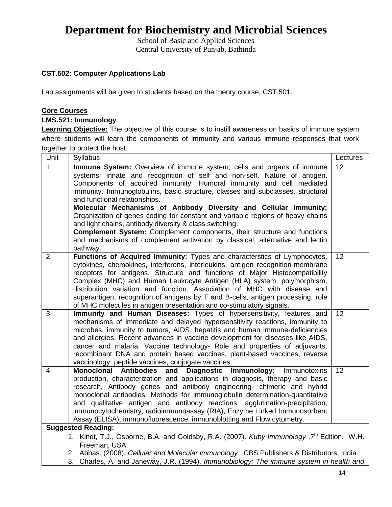School of Basic and Applied Sciences Central University of Punjab, Bathinda

### **CST.502: Computer Applications Lab**

Lab assignments will be given to students based on the theory course, CST.501.

#### **Core Courses**

### **LMS.521: Immunology**

**Learning Objective:** The objective of this course is to instill awareness on basics of immune system where students will learn the components of immunity and various immune responses that work together to protect the host.

| Unit | Syllabus                                                                                                                                                                                                                                                                                                                                                                                                                                                                                                                                                                                                                                                                                                                                          | Lectures |
|------|---------------------------------------------------------------------------------------------------------------------------------------------------------------------------------------------------------------------------------------------------------------------------------------------------------------------------------------------------------------------------------------------------------------------------------------------------------------------------------------------------------------------------------------------------------------------------------------------------------------------------------------------------------------------------------------------------------------------------------------------------|----------|
| 1.   | <b>Immune System:</b> Overview of immune system; cells and organs of immune<br>systems; innate and recognition of self and non-self. Nature of antigen.<br>Components of acquired immunity. Humoral immunity and cell mediated<br>immunity. Immunoglobulins, basic structure, classes and subclasses, structural<br>and functional relationships.<br>Molecular Mechanisms of Antibody Diversity and Cellular Immunity:<br>Organization of genes coding for constant and variable regions of heavy chains<br>and light chains, antibody diversity & class switching.<br><b>Complement System:</b> Complement components, their structure and functions<br>and mechanisms of complement activation by classical, alternative and lectin<br>pathway. | 12       |
| 2.   | Functions of Acquired Immunity: Types and characterstics of Lymphocytes,<br>cytokines, chemokines, interferons, interleukins, antigen recognition-membrane<br>receptors for antigens. Structure and functions of Major Histocompatibility<br>Complex (MHC) and Human Leukocyte Antigen (HLA) system, polymorphism,<br>distribution variation and function. Association of MHC with disease and<br>superantigen, recognition of antigens by T and B-cells, antigen processing, role<br>of MHC molecules in antigen presentation and co-stimulatory signals.                                                                                                                                                                                        | 12       |
| 3.   | Immunity and Human Diseases: Types of hypersensitivity, features and<br>mechanisms of immediate and delayed hypersensitivity reactions, immunity to<br>microbes, immunity to tumors, AIDS, hepatitis and human immune-deficiencies<br>and allergies. Recent advances in vaccine development for diseases like AIDS,<br>cancer and malaria. Vaccine technology- Role and properties of adjuvants,<br>recombinant DNA and protein based vaccines, plant-based vaccines, reverse<br>vaccinology; peptide vaccines, conjugate vaccines.                                                                                                                                                                                                               | 12       |
| 4.   | <b>Monoclonal Antibodies</b><br>and Diagnostic Immunology:<br>Immunotoxins<br>production, characterization and applications in diagnosis, therapy and basic<br>research. Antibody genes and antibody engineering- chimeric and hybrid<br>monoclonal antibodies. Methods for immunoglobulin determination-quantitative<br>and qualitative antigen and antibody reactions, agglutination-precipitation,<br>immunocytochemistry, radioimmunoassay (RIA), Enzyme Linked Immunosorbent<br>Assay (ELISA), immunofluorescence, immunoblotting and Flow cytometry.<br><b>Suggested Reading:</b>                                                                                                                                                           | 12       |
|      | 1. Kindt, T.J., Osborne, B.A. and Goldsby, R.A. (2007). Kuby Immunology .7 <sup>th</sup> Edition. W.H.<br>Freeman, USA.<br>2. Abbas. (2008). Cellular and Molecular immunology. CBS Publishers & Distributors, India.<br>2. Charles A and longuau ID (4004) Immunobiology The immune system in bootth and                                                                                                                                                                                                                                                                                                                                                                                                                                         |          |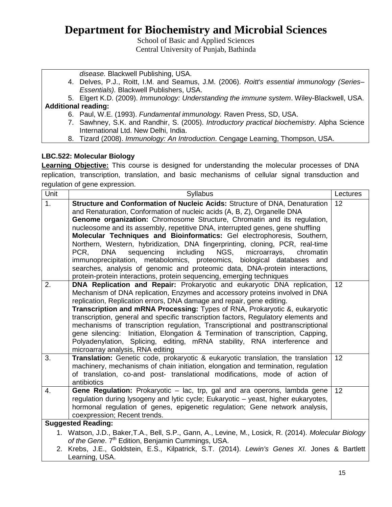School of Basic and Applied Sciences Central University of Punjab, Bathinda

*disease.* Blackwell Publishing, USA.

- 4. Delves, P.J., Roitt, I.M. and Seamus, J.M. (2006). *Roitt's essential immunology (Series– Essentials).* Blackwell Publishers, USA.
- 5. Elgert K.D. (2009). *Immunology: Understanding the immune system*. Wiley-Blackwell, USA. **Additional reading:**
	- 6. Paul, W.E. (1993). *Fundamental immunology.* Raven Press, SD, USA.
	- 7. Sawhney, S.K. and Randhir, S. (2005). *Introductory practical biochemistry*. Alpha Science International Ltd. New Delhi, India.
	- 8. Tizard (2008). *Immunology: An Introduction*. Cengage Learning, Thompson, USA.

### **LBC.522: Molecular Biology**

**Learning Objective:** This course is designed for understanding the molecular processes of DNA replication, transcription, translation, and basic mechanisms of cellular signal transduction and regulation of gene expression.

| Unit             | Syllabus                                                                                                                                                                                                                                                                                                                                                                                                                                                                                                                                                                                                                                                                                                                                                                                                   | Lectures |  |
|------------------|------------------------------------------------------------------------------------------------------------------------------------------------------------------------------------------------------------------------------------------------------------------------------------------------------------------------------------------------------------------------------------------------------------------------------------------------------------------------------------------------------------------------------------------------------------------------------------------------------------------------------------------------------------------------------------------------------------------------------------------------------------------------------------------------------------|----------|--|
| $\overline{1}$ . | Structure and Conformation of Nucleic Acids: Structure of DNA, Denaturation<br>and Renaturation, Conformation of nucleic acids (A, B, Z), Organelle DNA<br>Genome organization: Chromosome Structure, Chromatin and its regulation,<br>nucleosome and its assembly, repetitive DNA, interrupted genes, gene shuffling<br>Molecular Techniques and Bioinformatics: Gel electrophoresis, Southern,<br>Northern, Western, hybridization, DNA fingerprinting, cloning, PCR, real-time<br>sequencing<br>including<br>NGS,<br>microarrays,<br>PCR.<br><b>DNA</b><br>chromatin<br>immunoprecipitation, metabolomics, proteomics, biological databases and<br>searches, analysis of genomic and proteomic data, DNA-protein interactions,<br>protein-protein interactions, protein sequencing, emerging techniques | 12       |  |
| 2.               | DNA Replication and Repair: Prokaryotic and eukaryotic DNA replication,<br>Mechanism of DNA replication, Enzymes and accessory proteins involved in DNA<br>replication, Replication errors, DNA damage and repair, gene editing.<br>Transcription and mRNA Processing: Types of RNA, Prokaryotic &, eukaryotic<br>transcription, general and specific transcription factors, Regulatory elements and<br>mechanisms of transcription regulation, Transcriptional and posttranscriptional<br>gene silencing: Initiation, Elongation & Termination of transcription, Capping,<br>Polyadenylation, Splicing, editing, mRNA stability, RNA interference and<br>microarray analysis, RNA editing                                                                                                                 | 12       |  |
| 3.               | Translation: Genetic code, prokaryotic & eukaryotic translation, the translation<br>machinery, mechanisms of chain initiation, elongation and termination, regulation<br>of translation, co-and post- translational modifications, mode of action of<br>antibiotics                                                                                                                                                                                                                                                                                                                                                                                                                                                                                                                                        | 12       |  |
| 4.               | Gene Regulation: Prokaryotic - lac, trp, gal and ara operons, lambda gene<br>regulation during lysogeny and lytic cycle; Eukaryotic – yeast, higher eukaryotes,<br>hormonal regulation of genes, epigenetic regulation; Gene network analysis,<br>coexpression; Recent trends.                                                                                                                                                                                                                                                                                                                                                                                                                                                                                                                             | 12       |  |
|                  | <b>Suggested Reading:</b>                                                                                                                                                                                                                                                                                                                                                                                                                                                                                                                                                                                                                                                                                                                                                                                  |          |  |
|                  | 1. Watson, J.D., Baker, T.A., Bell, S.P., Gann, A., Levine, M., Losick, R. (2014). Molecular Biology<br>of the Gene. 7 <sup>th</sup> Edition, Benjamin Cummings, USA.                                                                                                                                                                                                                                                                                                                                                                                                                                                                                                                                                                                                                                      |          |  |
|                  | 2. Krebs, J.E., Goldstein, E.S., Kilpatrick, S.T. (2014). Lewin's Genes XI. Jones & Bartlett<br>Learning, USA.                                                                                                                                                                                                                                                                                                                                                                                                                                                                                                                                                                                                                                                                                             |          |  |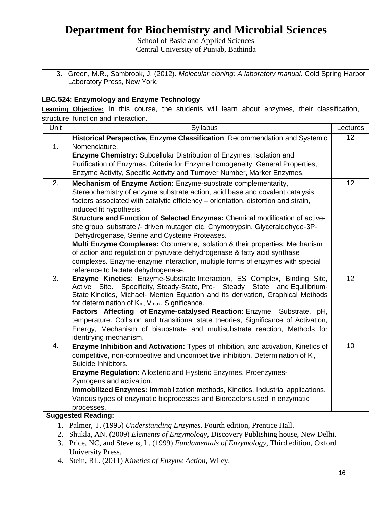School of Basic and Applied Sciences Central University of Punjab, Bathinda

| 3. Green, M.R., Sambrook, J. (2012). Molecular cloning: A laboratory manual. Cold Spring Harbor |
|-------------------------------------------------------------------------------------------------|
| Laboratory Press, New York.                                                                     |

### **LBC.524: Enzymology and Enzyme Technology**

**Learning Objective:** In this course, the students will learn about enzymes, their classification, structure, function and interaction.

| Historical Perspective, Enzyme Classification: Recommendation and Systemic<br>12<br>Nomenclature.<br>1.<br>Enzyme Chemistry: Subcellular Distribution of Enzymes. Isolation and<br>Purification of Enzymes, Criteria for Enzyme homogeneity, General Properties,<br>Enzyme Activity, Specific Activity and Turnover Number, Marker Enzymes.<br>2.<br>12<br>Mechanism of Enzyme Action: Enzyme-substrate complementarity,<br>Stereochemistry of enzyme substrate action, acid base and covalent catalysis,<br>factors associated with catalytic efficiency - orientation, distortion and strain,<br>induced fit hypothesis.<br>Structure and Function of Selected Enzymes: Chemical modification of active-<br>site group, substrate /- driven mutagen etc. Chymotrypsin, Glyceraldehyde-3P-<br>Dehydrogenase, Serine and Cysteine Proteases.<br>Multi Enzyme Complexes: Occurrence, isolation & their properties: Mechanism<br>of action and regulation of pyruvate dehydrogenase & fatty acid synthase<br>complexes. Enzyme-enzyme interaction, multiple forms of enzymes with special |
|-----------------------------------------------------------------------------------------------------------------------------------------------------------------------------------------------------------------------------------------------------------------------------------------------------------------------------------------------------------------------------------------------------------------------------------------------------------------------------------------------------------------------------------------------------------------------------------------------------------------------------------------------------------------------------------------------------------------------------------------------------------------------------------------------------------------------------------------------------------------------------------------------------------------------------------------------------------------------------------------------------------------------------------------------------------------------------------------|
|                                                                                                                                                                                                                                                                                                                                                                                                                                                                                                                                                                                                                                                                                                                                                                                                                                                                                                                                                                                                                                                                                         |
|                                                                                                                                                                                                                                                                                                                                                                                                                                                                                                                                                                                                                                                                                                                                                                                                                                                                                                                                                                                                                                                                                         |
|                                                                                                                                                                                                                                                                                                                                                                                                                                                                                                                                                                                                                                                                                                                                                                                                                                                                                                                                                                                                                                                                                         |
|                                                                                                                                                                                                                                                                                                                                                                                                                                                                                                                                                                                                                                                                                                                                                                                                                                                                                                                                                                                                                                                                                         |
|                                                                                                                                                                                                                                                                                                                                                                                                                                                                                                                                                                                                                                                                                                                                                                                                                                                                                                                                                                                                                                                                                         |
|                                                                                                                                                                                                                                                                                                                                                                                                                                                                                                                                                                                                                                                                                                                                                                                                                                                                                                                                                                                                                                                                                         |
|                                                                                                                                                                                                                                                                                                                                                                                                                                                                                                                                                                                                                                                                                                                                                                                                                                                                                                                                                                                                                                                                                         |
|                                                                                                                                                                                                                                                                                                                                                                                                                                                                                                                                                                                                                                                                                                                                                                                                                                                                                                                                                                                                                                                                                         |
|                                                                                                                                                                                                                                                                                                                                                                                                                                                                                                                                                                                                                                                                                                                                                                                                                                                                                                                                                                                                                                                                                         |
|                                                                                                                                                                                                                                                                                                                                                                                                                                                                                                                                                                                                                                                                                                                                                                                                                                                                                                                                                                                                                                                                                         |
|                                                                                                                                                                                                                                                                                                                                                                                                                                                                                                                                                                                                                                                                                                                                                                                                                                                                                                                                                                                                                                                                                         |
|                                                                                                                                                                                                                                                                                                                                                                                                                                                                                                                                                                                                                                                                                                                                                                                                                                                                                                                                                                                                                                                                                         |
|                                                                                                                                                                                                                                                                                                                                                                                                                                                                                                                                                                                                                                                                                                                                                                                                                                                                                                                                                                                                                                                                                         |
|                                                                                                                                                                                                                                                                                                                                                                                                                                                                                                                                                                                                                                                                                                                                                                                                                                                                                                                                                                                                                                                                                         |
|                                                                                                                                                                                                                                                                                                                                                                                                                                                                                                                                                                                                                                                                                                                                                                                                                                                                                                                                                                                                                                                                                         |
| reference to lactate dehydrogenase.<br>Enzyme Kinetics: Enzyme-Substrate Interaction, ES Complex, Binding Site,<br>3.<br>12                                                                                                                                                                                                                                                                                                                                                                                                                                                                                                                                                                                                                                                                                                                                                                                                                                                                                                                                                             |
| Active Site. Specificity, Steady-State, Pre- Steady State and Equilibrium-                                                                                                                                                                                                                                                                                                                                                                                                                                                                                                                                                                                                                                                                                                                                                                                                                                                                                                                                                                                                              |
| State Kinetics, Michael- Menten Equation and its derivation, Graphical Methods                                                                                                                                                                                                                                                                                                                                                                                                                                                                                                                                                                                                                                                                                                                                                                                                                                                                                                                                                                                                          |
| for determination of K <sub>m</sub> , V <sub>max</sub> . Significance.                                                                                                                                                                                                                                                                                                                                                                                                                                                                                                                                                                                                                                                                                                                                                                                                                                                                                                                                                                                                                  |
| Factors Affecting of Enzyme-catalysed Reaction: Enzyme, Substrate, pH,                                                                                                                                                                                                                                                                                                                                                                                                                                                                                                                                                                                                                                                                                                                                                                                                                                                                                                                                                                                                                  |
| temperature. Collision and transitional state theories, Significance of Activation,                                                                                                                                                                                                                                                                                                                                                                                                                                                                                                                                                                                                                                                                                                                                                                                                                                                                                                                                                                                                     |
| Energy, Mechanism of bisubstrate and multisubstrate reaction, Methods for                                                                                                                                                                                                                                                                                                                                                                                                                                                                                                                                                                                                                                                                                                                                                                                                                                                                                                                                                                                                               |
| identifying mechanism.                                                                                                                                                                                                                                                                                                                                                                                                                                                                                                                                                                                                                                                                                                                                                                                                                                                                                                                                                                                                                                                                  |
| 10<br>4.<br>Enzyme Inhibition and Activation: Types of inhibition, and activation, Kinetics of                                                                                                                                                                                                                                                                                                                                                                                                                                                                                                                                                                                                                                                                                                                                                                                                                                                                                                                                                                                          |
| competitive, non-competitive and uncompetitive inhibition, Determination of Ki,                                                                                                                                                                                                                                                                                                                                                                                                                                                                                                                                                                                                                                                                                                                                                                                                                                                                                                                                                                                                         |
| Suicide Inhibitors.                                                                                                                                                                                                                                                                                                                                                                                                                                                                                                                                                                                                                                                                                                                                                                                                                                                                                                                                                                                                                                                                     |
| Enzyme Regulation: Allosteric and Hysteric Enzymes, Proenzymes-                                                                                                                                                                                                                                                                                                                                                                                                                                                                                                                                                                                                                                                                                                                                                                                                                                                                                                                                                                                                                         |
| Zymogens and activation.                                                                                                                                                                                                                                                                                                                                                                                                                                                                                                                                                                                                                                                                                                                                                                                                                                                                                                                                                                                                                                                                |
| Immobilized Enzymes: Immobilization methods, Kinetics, Industrial applications.                                                                                                                                                                                                                                                                                                                                                                                                                                                                                                                                                                                                                                                                                                                                                                                                                                                                                                                                                                                                         |
| Various types of enzymatic bioprocesses and Bioreactors used in enzymatic                                                                                                                                                                                                                                                                                                                                                                                                                                                                                                                                                                                                                                                                                                                                                                                                                                                                                                                                                                                                               |
| processes.                                                                                                                                                                                                                                                                                                                                                                                                                                                                                                                                                                                                                                                                                                                                                                                                                                                                                                                                                                                                                                                                              |
| <b>Suggested Reading:</b>                                                                                                                                                                                                                                                                                                                                                                                                                                                                                                                                                                                                                                                                                                                                                                                                                                                                                                                                                                                                                                                               |
| 1. Palmer, T. (1995) Understanding Enzymes. Fourth edition, Prentice Hall.                                                                                                                                                                                                                                                                                                                                                                                                                                                                                                                                                                                                                                                                                                                                                                                                                                                                                                                                                                                                              |
| 2.<br>Shukla, AN. (2009) <i>Elements of Enzymology</i> , Discovery Publishing house, New Delhi.                                                                                                                                                                                                                                                                                                                                                                                                                                                                                                                                                                                                                                                                                                                                                                                                                                                                                                                                                                                         |
| Price, NC, and Stevens, L. (1999) Fundamentals of Enzymology, Third edition, Oxford<br>3.<br>University Press.                                                                                                                                                                                                                                                                                                                                                                                                                                                                                                                                                                                                                                                                                                                                                                                                                                                                                                                                                                          |
| Stein, RL. (2011) Kinetics of Enzyme Action, Wiley.<br>4.                                                                                                                                                                                                                                                                                                                                                                                                                                                                                                                                                                                                                                                                                                                                                                                                                                                                                                                                                                                                                               |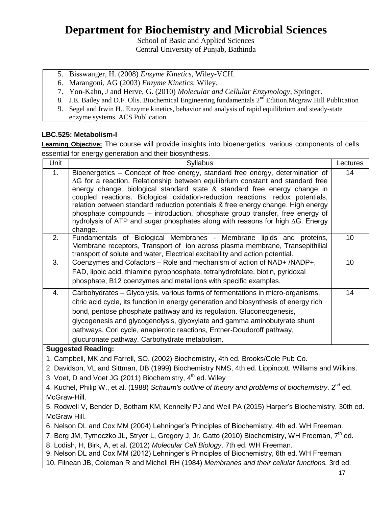School of Basic and Applied Sciences Central University of Punjab, Bathinda

- 5. Bisswanger, H. (2008) *Enzyme Kinetics*, Wiley-VCH.
- 6. Marangoni, AG (2003) *Enzyme Kinetics*, Wiley.
- 7. Yon-Kahn, J and Herve, G. (2010) *Molecular and Cellular Enzymology*, Springer.
- 8. J.E. Bailey and D.F. Olis. Biochemical Engineering fundamentals  $2^{nd}$  Edition. Mcgraw Hill Publication
- 9. Segel and Irwin H.. Enzyme kinetics, behavior and analysis of rapid equilibrium and steady-state enzyme systems. ACS Publication.

### **LBC.525: Metabolism-I**

**Learning Objective:** The course will provide insights into bioenergetics, various components of cells essential for energy generation and their biosynthesis.

| Unit                                                                                              | Syllabus                                                                                                                                                                       | Lectures |  |
|---------------------------------------------------------------------------------------------------|--------------------------------------------------------------------------------------------------------------------------------------------------------------------------------|----------|--|
| 1.                                                                                                | Bioenergetics - Concept of free energy, standard free energy, determination of                                                                                                 | 14       |  |
|                                                                                                   | $\Delta G$ for a reaction. Relationship between equilibrium constant and standard free<br>energy change, biological standard state & standard free energy change in            |          |  |
|                                                                                                   | coupled reactions. Biological oxidation-reduction reactions, redox potentials,                                                                                                 |          |  |
|                                                                                                   | relation between standard reduction potentials & free energy change. High energy                                                                                               |          |  |
|                                                                                                   | phosphate compounds – introduction, phosphate group transfer, free energy of                                                                                                   |          |  |
|                                                                                                   | hydrolysis of ATP and sugar phosphates along with reasons for high $\Delta G$ . Energy                                                                                         |          |  |
|                                                                                                   | change.                                                                                                                                                                        |          |  |
| 2.                                                                                                | Fundamentals of Biological Membranes - Membrane lipids and proteins,<br>Membrane receptors, Transport of ion across plasma membrane, Transepithilial                           | 10       |  |
|                                                                                                   | transport of solute and water, Electrical excitability and action potential.                                                                                                   |          |  |
| 3.                                                                                                | Coenzymes and Cofactors - Role and mechanism of action of NAD+ /NADP+,                                                                                                         | 10       |  |
|                                                                                                   | FAD, lipoic acid, thiamine pyrophosphate, tetrahydrofolate, biotin, pyridoxal                                                                                                  |          |  |
|                                                                                                   | phosphate, B12 coenzymes and metal ions with specific examples.                                                                                                                |          |  |
| 4.                                                                                                | Carbohydrates - Glycolysis, various forms of fermentations in micro-organisms,                                                                                                 | 14       |  |
|                                                                                                   | citric acid cycle, its function in energy generation and biosynthesis of energy rich                                                                                           |          |  |
|                                                                                                   | bond, pentose phosphate pathway and its regulation. Gluconeogenesis,                                                                                                           |          |  |
|                                                                                                   | glycogenesis and glycogenolysis, glyoxylate and gamma aminobutyrate shunt                                                                                                      |          |  |
|                                                                                                   | pathways, Cori cycle, anaplerotic reactions, Entner-Doudoroff pathway,                                                                                                         |          |  |
|                                                                                                   | glucuronate pathway. Carbohydrate metabolism.                                                                                                                                  |          |  |
|                                                                                                   | <b>Suggested Reading:</b>                                                                                                                                                      |          |  |
|                                                                                                   | 1. Campbell, MK and Farrell, SO. (2002) Biochemistry, 4th ed. Brooks/Cole Pub Co.                                                                                              |          |  |
|                                                                                                   | 2. Davidson, VL and Sittman, DB (1999) Biochemistry NMS, 4th ed. Lippincott. Willams and Wilkins.                                                                              |          |  |
|                                                                                                   | 3. Voet, D and Voet JG (2011) Biochemistry, 4 <sup>th</sup> ed. Wiley                                                                                                          |          |  |
|                                                                                                   | 4. Kuchel, Philip W., et al. (1988) Schaum's outline of theory and problems of biochemistry. $2^{nd}$ ed.                                                                      |          |  |
| McGraw-Hill.                                                                                      |                                                                                                                                                                                |          |  |
| 5. Rodwell V, Bender D, Botham KM, Kennelly PJ and Weil PA (2015) Harper's Biochemistry. 30th ed. |                                                                                                                                                                                |          |  |
| McGraw Hill.                                                                                      |                                                                                                                                                                                |          |  |
| 6. Nelson DL and Cox MM (2004) Lehninger's Principles of Biochemistry, 4th ed. WH Freeman.        |                                                                                                                                                                                |          |  |
|                                                                                                   | 7. Berg JM, Tymoczko JL, Stryer L, Gregory J, Jr. Gatto (2010) Biochemistry, WH Freeman, 7 <sup>th</sup> ed.                                                                   |          |  |
|                                                                                                   | 8. Lodish, H, Birk, A, et al. (2012) Molecular Cell Biology. 7th ed. WH Freeman.<br>9. Nelson DL and Cox MM (2012) Lehninger's Principles of Biochemistry, 6th ed. WH Freeman. |          |  |
|                                                                                                   | 10. Filnean JB, Coleman R and Michell RH (1984) Membranes and their cellular functions. 3rd ed.                                                                                |          |  |
|                                                                                                   |                                                                                                                                                                                | 17       |  |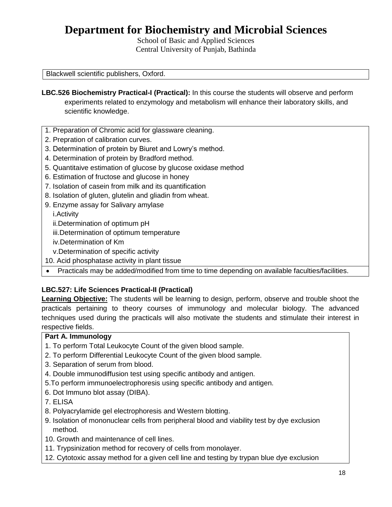School of Basic and Applied Sciences Central University of Punjab, Bathinda

Blackwell scientific publishers, Oxford.

- **LBC.526 Biochemistry Practical-I (Practical):** In this course the students will observe and perform experiments related to enzymology and metabolism will enhance their laboratory skills, and scientific knowledge.
- 1. Preparation of Chromic acid for glassware cleaning.
- 2. Prepration of calibration curves.
- 3. Determination of protein by Biuret and Lowry's method.
- 4. Determination of protein by Bradford method.
- 5. Quantitaive estimation of glucose by glucose oxidase method
- 6. Estimation of fructose and glucose in honey
- 7. Isolation of casein from milk and its quantification
- 8. Isolation of gluten, glutelin and gliadin from wheat.
- 9. Enzyme assay for Salivary amylase
	- i.Activity
	- ii.Determination of optimum pH
	- iii.Determination of optimum temperature
	- iv.Determination of Km
	- v.Determination of specific activity
- 10. Acid phosphatase activity in plant tissue
- Practicals may be added/modified from time to time depending on available faculties/facilities.

### **LBC.527: Life Sciences Practical-II (Practical)**

**Learning Objective:** The students will be learning to design, perform, observe and trouble shoot the practicals pertaining to theory courses of immunology and molecular biology. The advanced techniques used during the practicals will also motivate the students and stimulate their interest in respective fields.

### **Part A. Immunology**

- 1. To perform Total Leukocyte Count of the given blood sample.
- 2. To perform Differential Leukocyte Count of the given blood sample.
- 3. Separation of serum from blood.
- 4. Double immunodiffusion test using specific antibody and antigen.
- 5.To perform immunoelectrophoresis using specific antibody and antigen.
- 6. Dot Immuno blot assay (DIBA).
- 7. ELISA
- 8. Polyacrylamide gel electrophoresis and Western blotting.
- 9. Isolation of mononuclear cells from peripheral blood and viability test by dye exclusion method.
- 10. Growth and maintenance of cell lines.
- 11. Trypsinization method for recovery of cells from monolayer.
- 12. Cytotoxic assay method for a given cell line and testing by trypan blue dye exclusion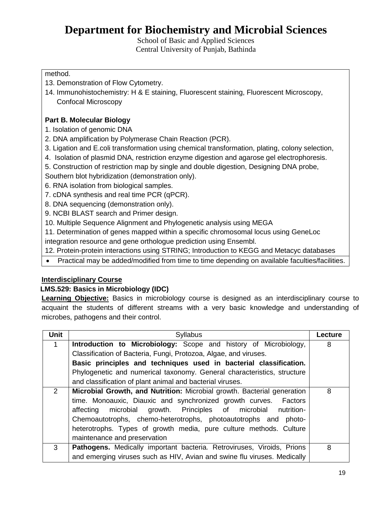School of Basic and Applied Sciences Central University of Punjab, Bathinda

### method.

- 13. Demonstration of Flow Cytometry.
- 14. Immunohistochemistry: H & E staining, Fluorescent staining, Fluorescent Microscopy, Confocal Microscopy

### **Part B. Molecular Biology**

- 1. Isolation of genomic DNA
- 2. DNA amplification by Polymerase Chain Reaction (PCR).
- 3. Ligation and E.coli transformation using chemical transformation, plating, colony selection,
- 4. Isolation of plasmid DNA, restriction enzyme digestion and agarose gel electrophoresis.
- 5. Construction of restriction map by single and double digestion, Designing DNA probe,
- Southern blot hybridization (demonstration only).
- 6. RNA isolation from biological samples.
- 7. cDNA synthesis and real time PCR (qPCR).
- 8. DNA sequencing (demonstration only).
- 9. NCBI BLAST search and Primer design.
- 10. Multiple Sequence Alignment and Phylogenetic analysis using MEGA
- 11. Determination of genes mapped within a specific chromosomal locus using GeneLoc
- integration resource and gene orthologue prediction using Ensembl.
- 12. Protein-protein interactions using STRING; Introduction to KEGG and Metacyc databases
- Practical may be added/modified from time to time depending on available faculties/facilities.

### **Interdisciplinary Course**

### **LMS.529: Basics in Microbiology (IDC)**

**Learning Objective:** Basics in microbiology course is designed as an interdisciplinary course to acquaint the students of different streams with a very basic knowledge and understanding of microbes, pathogens and their control.

| <b>Unit</b>   | <b>Syllabus</b>                                                          | Lecture |
|---------------|--------------------------------------------------------------------------|---------|
| 1             | Introduction to Microbiology: Scope and history of Microbiology,         | 8       |
|               | Classification of Bacteria, Fungi, Protozoa, Algae, and viruses.         |         |
|               | Basic principles and techniques used in bacterial classification.        |         |
|               | Phylogenetic and numerical taxonomy. General characteristics, structure  |         |
|               | and classification of plant animal and bacterial viruses.                |         |
| $\mathcal{P}$ | Microbial Growth, and Nutrition: Microbial growth. Bacterial generation  | 8       |
|               | time. Monoauxic, Diauxic and synchronized growth curves. Factors         |         |
|               | affecting microbial growth. Principles of microbial<br>nutrition-        |         |
|               | Chemoautotrophs, chemo-heterotrophs, photoautotrophs and photo-          |         |
|               | heterotrophs. Types of growth media, pure culture methods. Culture       |         |
|               | maintenance and preservation                                             |         |
| 3             | Pathogens. Medically important bacteria. Retroviruses, Viroids, Prions   | 8       |
|               | and emerging viruses such as HIV, Avian and swine flu viruses. Medically |         |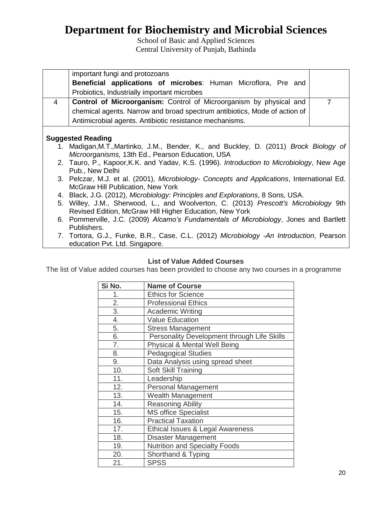School of Basic and Applied Sciences Central University of Punjab, Bathinda

|    | important fungi and protozoans                                                             |                |
|----|--------------------------------------------------------------------------------------------|----------------|
|    | <b>Beneficial applications of microbes:</b> Human Microflora, Pre and                      |                |
|    | Probiotics, Industrially important microbes                                                |                |
| 4  | <b>Control of Microorganism:</b> Control of Microorganism by physical and                  | $\overline{7}$ |
|    | chemical agents. Narrow and broad spectrum antibiotics, Mode of action of                  |                |
|    | Antimicrobial agents. Antibiotic resistance mechanisms.                                    |                |
|    |                                                                                            |                |
|    | <b>Suggested Reading</b>                                                                   |                |
| 1. | Madigan, M.T., Martinko, J.M., Bender, K., and Buckley, D. (2011) Brock Biology of         |                |
|    | Microorganisms, 13th Ed., Pearson Education, USA                                           |                |
|    | 2. Tauro, P., Kapoor, K.K. and Yadav, K.S. (1996). Introduction to Microbiology, New Age   |                |
|    | Pub., New Delhi                                                                            |                |
|    | 3. Pelczar, M.J. et al. (2001), Microbiology- Concepts and Applications, International Ed. |                |
|    | <b>McGraw Hill Publication, New York</b>                                                   |                |
|    | 4. Black, J.G. (2012), Microbiology: Principles and Explorations, 8 Sons, USA.             |                |
|    | 5. Willey, J.M., Sherwood, L., and Woolverton, C. (2013) Prescott's Microbiology 9th       |                |
|    | Revised Edition, McGraw Hill Higher Education, New York                                    |                |
|    | 6. Pommerville, J.C. (2009) Alcamo's Fundamentals of Microbiology, Jones and Bartlett      |                |
|    | Publishers.                                                                                |                |
|    | 7. Tortora, G.J., Funke, B.R., Case, C.L. (2012) Microbiology -An Introduction, Pearson    |                |
|    | education Pvt. Ltd. Singapore.                                                             |                |

### **List of Value Added Courses**

The list of Value added courses has been provided to choose any two courses in a programme

| Si No.           | <b>Name of Course</b>                       |
|------------------|---------------------------------------------|
| 1.               | <b>Ethics for Science</b>                   |
| 2.               | <b>Professional Ethics</b>                  |
| $\overline{3}$ . | <b>Academic Writing</b>                     |
| 4.               | <b>Value Education</b>                      |
| 5.               | <b>Stress Management</b>                    |
| 6.               | Personality Development through Life Skills |
| 7.               | Physical & Mental Well Being                |
| 8.               | <b>Pedagogical Studies</b>                  |
| 9.               | Data Analysis using spread sheet            |
| 10.              | Soft Skill Training                         |
| 11.              | Leadership                                  |
| 12.              | <b>Personal Management</b>                  |
| 13.              | <b>Wealth Management</b>                    |
| 14.              | <b>Reasoning Ability</b>                    |
| 15.              | <b>MS office Specialist</b>                 |
| 16.              | <b>Practical Taxation</b>                   |
| 17.              | Ethical Issues & Legal Awareness            |
| 18.              | Disaster Management                         |
| 19.              | <b>Nutrition and Specialty Foods</b>        |
| 20.              | Shorthand & Typing                          |
| 21.              | <b>SPSS</b>                                 |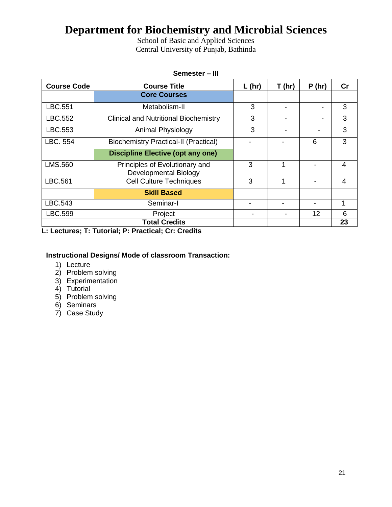School of Basic and Applied Sciences Central University of Punjab, Bathinda

| Semester - III     |                                                         |          |       |                |               |  |
|--------------------|---------------------------------------------------------|----------|-------|----------------|---------------|--|
| <b>Course Code</b> | <b>Course Title</b>                                     | $L$ (hr) | T(hr) | P(hr)          | $\mathsf{Cr}$ |  |
|                    | <b>Core Courses</b>                                     |          |       |                |               |  |
| LBC.551            | Metabolism-II                                           | 3        |       |                | 3             |  |
| LBC.552            | <b>Clinical and Nutritional Biochemistry</b>            | 3        |       | $\blacksquare$ | 3             |  |
| LBC.553            | Animal Physiology                                       | 3        |       |                | 3             |  |
| LBC. 554           | <b>Biochemistry Practical-II (Practical)</b>            |          |       | 6              | 3             |  |
|                    | <b>Discipline Elective (opt any one)</b>                |          |       |                |               |  |
| LMS.560            | Principles of Evolutionary and<br>Developmental Biology | 3        | 1     |                | 4             |  |
| LBC.561            | <b>Cell Culture Techniques</b>                          | 3        | 1     |                | 4             |  |
|                    | <b>Skill Based</b>                                      |          |       |                |               |  |
| LBC.543            | Seminar-I                                               |          |       |                | $\mathbf 1$   |  |
| LBC.599            | Project                                                 |          |       | 12             | 6             |  |
|                    | <b>Total Credits</b>                                    |          |       |                | 23            |  |

## **L: Lectures; T: Tutorial; P: Practical; Cr: Credits**

## **Instructional Designs/ Mode of classroom Transaction:**

- 1) Lecture
- 2) Problem solving
- 3) Experimentation
- 4) Tutorial
- 5) Problem solving
- 6) Seminars
- 7) Case Study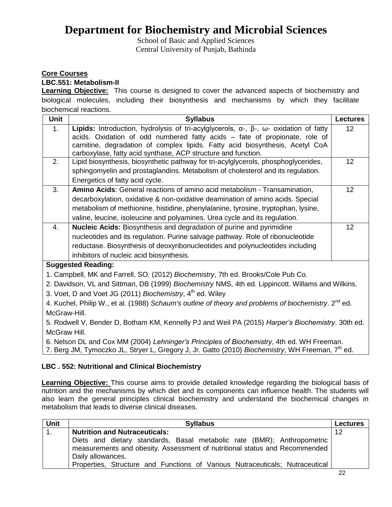School of Basic and Applied Sciences Central University of Punjab, Bathinda

### **Core Courses**

### **LBC.551: Metabolism-II**

**Learning Objective:** This course is designed to cover the advanced aspects of biochemistry and biological molecules, including their biosynthesis and mechanisms by which they facilitate biochemical reactions.

| <b>Unit</b>                                                                                       | <b>Syllabus</b>                                                                                             | <b>Lectures</b> |
|---------------------------------------------------------------------------------------------------|-------------------------------------------------------------------------------------------------------------|-----------------|
| 1.                                                                                                | Lipids: Introduction, hydrolysis of tri-acylglycerols, $\alpha$ -, $\beta$ -, $\omega$ - oxidation of fatty | 12 <sup>2</sup> |
|                                                                                                   | acids. Oxidation of odd numbered fatty acids - fate of propionate, role of                                  |                 |
|                                                                                                   | carnitine, degradation of complex lipids. Fatty acid biosynthesis, Acetyl CoA                               |                 |
|                                                                                                   | carboxylase, fatty acid synthase, ACP structure and function.                                               |                 |
| 2.                                                                                                | Lipid biosynthesis, biosynthetic pathway for tri-acylglycerols, phosphoglycerides,                          | 12 <sub>2</sub> |
|                                                                                                   | sphingomyelin and prostaglandins. Metabolism of cholesterol and its regulation.                             |                 |
|                                                                                                   | Energetics of fatty acid cycle.                                                                             |                 |
| 3.                                                                                                | Amino Acids: General reactions of amino acid metabolism - Transamination,                                   | 12              |
|                                                                                                   | decarboxylation, oxidative & non-oxidative deamination of amino acids. Special                              |                 |
|                                                                                                   | metabolism of methionine, histidine, phenylalanine, tyrosine, tryptophan, lysine,                           |                 |
|                                                                                                   | valine, leucine, isoleucine and polyamines. Urea cycle and its regulation.                                  |                 |
| 4.                                                                                                | Nucleic Acids: Biosynthesis and degradation of purine and pyrimidine                                        | 12 <sup>2</sup> |
|                                                                                                   | nucleotides and its regulation. Purine salvage pathway. Role of ribonucleotide                              |                 |
|                                                                                                   | reductase. Biosynthesis of deoxyribonucleotides and polynucleotides including                               |                 |
|                                                                                                   | inhibitors of nucleic acid biosynthesis.                                                                    |                 |
|                                                                                                   | <b>Suggested Reading:</b>                                                                                   |                 |
|                                                                                                   | 1. Campbell, MK and Farrell, SO. (2012) Biochemistry, 7th ed. Brooks/Cole Pub Co.                           |                 |
| 2. Davidson, VL and Sittman, DB (1999) Biochemistry NMS, 4th ed. Lippincott. Willams and Wilkins. |                                                                                                             |                 |
| 3. Voet, D and Voet JG (2011) Biochemistry, 4 <sup>th</sup> ed. Wiley                             |                                                                                                             |                 |
|                                                                                                   | 4. Kuchel, Philip W., et al. (1988) Schaum's outline of theory and problems of biochemistry. $2^{nd}$ ed.   |                 |

McGraw-Hill. 5. Rodwell V, Bender D, Botham KM, Kennelly PJ and Weil PA (2015) *Harper's Biochemistry*. 30th ed.

McGraw Hill.

6. Nelson DL and Cox MM (2004) *Lehninger's Principles of Biochemistry*, 4th ed. WH Freeman.

7. Berg JM, Tymoczko JL, Stryer L, Gregory J, Jr. Gatto (2010) *Biochemistry*, WH Freeman, 7th ed.

### **LBC . 552: Nutritional and Clinical Biochemistry**

**Learning Objective:** This course aims to provide detailed knowledge regarding the biological basis of nutrition and the mechanisms by which diet and its components can influence health. The students will also learn the general principles clinical biochemistry and understand the biochemical changes in metabolism that leads to diverse clinical diseases.

| <b>Unit</b> | <b>Syllabus</b>                                                                                                                                                            | <b>Lectures</b> |
|-------------|----------------------------------------------------------------------------------------------------------------------------------------------------------------------------|-----------------|
| 1.          | <b>Nutrition and Nutraceuticals:</b>                                                                                                                                       | 12              |
|             | Diets and dietary standards, Basal metabolic rate (BMR); Anthropometric<br>measurements and obesity. Assessment of nutritional status and Recommended<br>Daily allowances. |                 |
|             | Properties, Structure and Functions of Various Nutraceuticals; Nutraceutical                                                                                               |                 |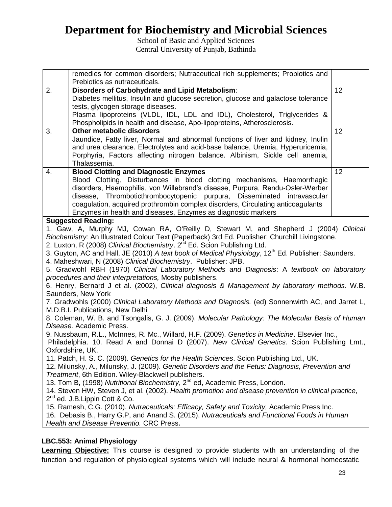School of Basic and Applied Sciences Central University of Punjab, Bathinda

|                                                                                                   | remedies for common disorders; Nutraceutical rich supplements; Probiotics and<br>Prebiotics as nutraceuticals.                       |    |  |
|---------------------------------------------------------------------------------------------------|--------------------------------------------------------------------------------------------------------------------------------------|----|--|
| 2.                                                                                                | Disorders of Carbohydrate and Lipid Metabolism:                                                                                      | 12 |  |
|                                                                                                   | Diabetes mellitus, Insulin and glucose secretion, glucose and galactose tolerance                                                    |    |  |
|                                                                                                   | tests, glycogen storage diseases.                                                                                                    |    |  |
|                                                                                                   | Plasma lipoproteins (VLDL, IDL, LDL and IDL), Cholesterol, Triglycerides &                                                           |    |  |
|                                                                                                   | Phospholipids in health and disease, Apo-lipoproteins, Atherosclerosis.                                                              |    |  |
| 3.                                                                                                | <b>Other metabolic disorders</b>                                                                                                     | 12 |  |
|                                                                                                   | Jaundice, Fatty liver, Normal and abnormal functions of liver and kidney, Inulin                                                     |    |  |
|                                                                                                   | and urea clearance. Electrolytes and acid-base balance, Uremia, Hyperuricemia,                                                       |    |  |
|                                                                                                   | Porphyria, Factors affecting nitrogen balance. Albinism, Sickle cell anemia,                                                         |    |  |
|                                                                                                   | Thalassemia.                                                                                                                         |    |  |
| 4.                                                                                                | <b>Blood Clotting and Diagnostic Enzymes</b>                                                                                         | 12 |  |
|                                                                                                   | Blood Clotting, Disturbances in blood clotting mechanisms, Haemorrhagic                                                              |    |  |
|                                                                                                   | disorders, Haemophilia, von Willebrand's disease, Purpura, Rendu-Osler-Werber                                                        |    |  |
|                                                                                                   | disease, Thromboticthrombocytopenic purpura, Disseminated intravascular                                                              |    |  |
|                                                                                                   | coagulation, acquired prothrombin complex disorders, Circulating anticoagulants                                                      |    |  |
|                                                                                                   | Enzymes in health and diseases, Enzymes as diagnostic markers                                                                        |    |  |
|                                                                                                   | <b>Suggested Reading:</b>                                                                                                            |    |  |
|                                                                                                   | 1. Gaw, A, Murphy MJ, Cowan RA, O'Reilly D, Stewart M, and Shepherd J (2004) Clinical                                                |    |  |
|                                                                                                   | Biochemistry: An Illustrated Colour Text (Paperback) 3rd Ed. Publisher: Churchill Livingstone.                                       |    |  |
|                                                                                                   | 2. Luxton, R (2008) Clinical Biochemistry. 2 <sup>nd</sup> Ed. Scion Publishing Ltd.                                                 |    |  |
|                                                                                                   | 3. Guyton, AC and Hall, JE (2010) A text book of Medical Physiology, 12 <sup>th</sup> Ed. Publisher: Saunders.                       |    |  |
|                                                                                                   | 4. Maheshwari, N (2008) Clinical Biochemistry. Publisher: JPB.                                                                       |    |  |
|                                                                                                   | 5. Gradwohl RBH (1970) Clinical Laboratory Methods and Diagnosis: A textbook on laboratory                                           |    |  |
|                                                                                                   | procedures and their interpretations, Mosby publishers.                                                                              |    |  |
|                                                                                                   | 6. Henry, Bernard J et al. (2002), Clinical diagnosis & Management by laboratory methods. W.B.                                       |    |  |
|                                                                                                   | Saunders, New York                                                                                                                   |    |  |
| 7. Gradwohls (2000) Clinical Laboratory Methods and Diagnosis. (ed) Sonnenwirth AC, and Jarret L, |                                                                                                                                      |    |  |
|                                                                                                   | M.D.B.I. Publications, New Delhi<br>8. Coleman, W. B. and Tsongalis, G. J. (2009). Molecular Pathology: The Molecular Basis of Human |    |  |
|                                                                                                   | Disease. Academic Press.                                                                                                             |    |  |
|                                                                                                   | 9. Nussbaum, R.L., McInnes, R. Mc., Willard, H.F. (2009). Genetics in Medicine. Elsevier Inc.,                                       |    |  |
|                                                                                                   | Philadelphia. 10. Read A and Donnai D (2007). New Clinical Genetics. Scion Publishing Lmt.,                                          |    |  |
|                                                                                                   | Oxfordshire, UK.                                                                                                                     |    |  |
|                                                                                                   | 11. Patch, H. S. C. (2009). Genetics for the Health Sciences. Scion Publishing Ltd., UK.                                             |    |  |
|                                                                                                   | 12. Milunsky, A., Milunsky, J. (2009). Genetic Disorders and the Fetus: Diagnosis, Prevention and                                    |    |  |
|                                                                                                   | Treatment, 6th Edition. Wiley-Blackwell publishers.                                                                                  |    |  |
|                                                                                                   | 13. Tom B, (1998) Nutritional Biochemistry, 2 <sup>nd</sup> ed, Academic Press, London.                                              |    |  |
|                                                                                                   | 14. Steven HW, Steven J, et al. (2002). Health promotion and disease prevention in clinical practice,                                |    |  |
|                                                                                                   | $2^{nd}$ ed. J.B. Lippin Cott & Co.                                                                                                  |    |  |
|                                                                                                   | 15. Ramesh, C.G. (2010). Nutraceuticals: Efficacy, Safety and Toxicity, Academic Press Inc.                                          |    |  |
|                                                                                                   | 16. Debasis B., Harry G.P, and Anand S. (2015). Nutraceuticals and Functional Foods in Human                                         |    |  |
|                                                                                                   | Health and Disease Preventio. CRC Press.                                                                                             |    |  |
|                                                                                                   |                                                                                                                                      |    |  |

### **LBC.553: Animal Physiology**

**Learning Objective:** This course is designed to provide students with an understanding of the function and regulation of physiological systems which will include neural & hormonal homeostatic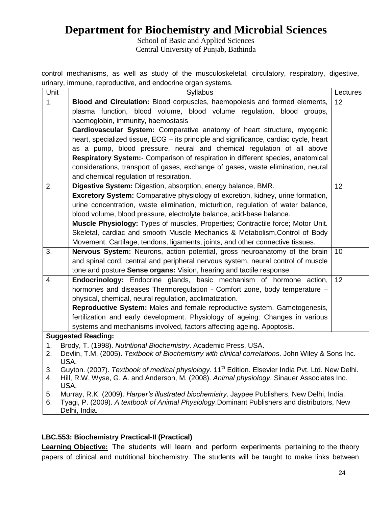School of Basic and Applied Sciences Central University of Punjab, Bathinda

control mechanisms, as well as study of the musculoskeletal, circulatory, respiratory, digestive, urinary, immune, reproductive, and endocrine organ systems.

| Unit     | Syllabus                                                                                                                                                             | Lectures |  |
|----------|----------------------------------------------------------------------------------------------------------------------------------------------------------------------|----------|--|
| 1.       | Blood and Circulation: Blood corpuscles, haemopoiesis and formed elements,                                                                                           | 12       |  |
|          | plasma function, blood volume, blood volume regulation, blood groups,                                                                                                |          |  |
|          | haemoglobin, immunity, haemostasis                                                                                                                                   |          |  |
|          | Cardiovascular System: Comparative anatomy of heart structure, myogenic                                                                                              |          |  |
|          | heart, specialized tissue, ECG – its principle and significance, cardiac cycle, heart                                                                                |          |  |
|          | as a pump, blood pressure, neural and chemical regulation of all above                                                                                               |          |  |
|          | Respiratory System:- Comparison of respiration in different species, anatomical                                                                                      |          |  |
|          | considerations, transport of gases, exchange of gases, waste elimination, neural                                                                                     |          |  |
|          | and chemical regulation of respiration.                                                                                                                              |          |  |
| 2.       | Digestive System: Digestion, absorption, energy balance, BMR.                                                                                                        | 12       |  |
|          | Excretory System: Comparative physiology of excretion, kidney, urine formation,                                                                                      |          |  |
|          | urine concentration, waste elimination, micturition, regulation of water balance,                                                                                    |          |  |
|          | blood volume, blood pressure, electrolyte balance, acid-base balance.                                                                                                |          |  |
|          | Muscle Physiology: Types of muscles, Properties; Contractile force; Motor Unit.                                                                                      |          |  |
|          | Skeletal, cardiac and smooth Muscle Mechanics & Metabolism.Control of Body                                                                                           |          |  |
|          | Movement. Cartilage, tendons, ligaments, joints, and other connective tissues.                                                                                       |          |  |
| 3.       | Nervous System: Neurons, action potential, gross neuroanatomy of the brain                                                                                           | 10       |  |
|          | and spinal cord, central and peripheral nervous system, neural control of muscle                                                                                     |          |  |
|          | tone and posture Sense organs: Vision, hearing and tactile response                                                                                                  |          |  |
| 4.       | Endocrinology: Endocrine glands, basic mechanism of hormone action,                                                                                                  | 12       |  |
|          | hormones and diseases Thermoregulation - Comfort zone, body temperature -                                                                                            |          |  |
|          | physical, chemical, neural regulation, acclimatization.                                                                                                              |          |  |
|          | Reproductive System: Males and female reproductive system. Gametogenesis,                                                                                            |          |  |
|          | fertilization and early development. Physiology of ageing: Changes in various                                                                                        |          |  |
|          | systems and mechanisms involved, factors affecting ageing. Apoptosis.                                                                                                |          |  |
|          | <b>Suggested Reading:</b>                                                                                                                                            |          |  |
| 1.<br>2. | Brody, T. (1998). Nutritional Biochemistry. Academic Press, USA.<br>Devlin, T.M. (2005). Textbook of Biochemistry with clinical correlations. John Wiley & Sons Inc. |          |  |
|          | USA.                                                                                                                                                                 |          |  |
| 3.       | Guyton. (2007). Textbook of medical physiology. 11 <sup>th</sup> Edition. Elsevier India Pvt. Ltd. New Delhi.                                                        |          |  |
| 4.       | Hill, R.W, Wyse, G. A. and Anderson, M. (2008). Animal physiology. Sinauer Associates Inc.                                                                           |          |  |
|          | USA.                                                                                                                                                                 |          |  |
| 5.       | Murray, R.K. (2009). Harper's illustrated biochemistry. Jaypee Publishers, New Delhi, India.                                                                         |          |  |
| 6.       | Tyagi, P. (2009). A textbook of Animal Physiology.Dominant Publishers and distributors, New<br>Delhi, India.                                                         |          |  |

### **LBC.553: Biochemistry Practical-II (Practical)**

**Learning Objective:** The students will learn and perform experiments pertaining to the theory papers of clinical and nutritional biochemistry. The students will be taught to make links between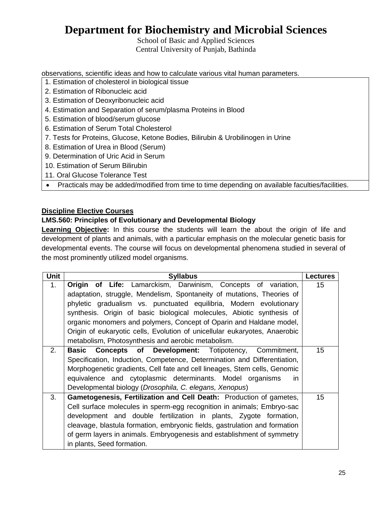School of Basic and Applied Sciences Central University of Punjab, Bathinda

observations, scientific ideas and how to calculate various vital human parameters.

- 1. Estimation of cholesterol in biological tissue
- 2. Estimation of Ribonucleic acid
- 3. Estimation of Deoxyribonucleic acid
- 4. Estimation and Separation of serum/plasma Proteins in Blood
- 5. Estimation of blood/serum glucose
- 6. Estimation of Serum Total Cholesterol
- 7. Tests for Proteins, Glucose, Ketone Bodies, Bilirubin & Urobilinogen in Urine
- 8. Estimation of Urea in Blood (Serum)
- 9. Determination of Uric Acid in Serum
- 10. Estimation of Serum Bilirubin
- 11. Oral Glucose Tolerance Test
- Practicals may be added/modified from time to time depending on available faculties/facilities.

### **Discipline Elective Courses**

### **LMS.560: Principles of Evolutionary and Developmental Biology**

Learning Objective: In this course the students will learn the about the origin of life and development of plants and animals, with a particular emphasis on the molecular genetic basis for developmental events. The course will focus on developmental phenomena studied in several of the most prominently utilized model organisms.

| <b>Unit</b>    | <b>Syllabus</b>                                                            | <b>Lectures</b> |
|----------------|----------------------------------------------------------------------------|-----------------|
| 1.             | <b>Origin of Life:</b> Lamarckism, Darwinism, Concepts of variation,       | 15              |
|                | adaptation, struggle, Mendelism, Spontaneity of mutations, Theories of     |                 |
|                | phyletic gradualism vs. punctuated equilibria, Modern evolutionary         |                 |
|                | synthesis. Origin of basic biological molecules, Abiotic synthesis of      |                 |
|                | organic monomers and polymers, Concept of Oparin and Haldane model,        |                 |
|                | Origin of eukaryotic cells, Evolution of unicellular eukaryotes, Anaerobic |                 |
|                | metabolism, Photosynthesis and aerobic metabolism.                         |                 |
| 2.             | <b>Concepts of Development:</b> Totipotency, Commitment,<br>Basic          | 15              |
|                | Specification, Induction, Competence, Determination and Differentiation,   |                 |
|                | Morphogenetic gradients, Cell fate and cell lineages, Stem cells, Genomic  |                 |
|                | equivalence and cytoplasmic determinants. Model organisms<br>in.           |                 |
|                | Developmental biology (Drosophila, C. elegans, Xenopus)                    |                 |
| 3 <sub>1</sub> | Gametogenesis, Fertilization and Cell Death: Production of gametes,        | 15              |
|                | Cell surface molecules in sperm-egg recognition in animals; Embryo-sac     |                 |
|                | development and double fertilization in plants, Zygote formation,          |                 |
|                | cleavage, blastula formation, embryonic fields, gastrulation and formation |                 |
|                | of germ layers in animals. Embryogenesis and establishment of symmetry     |                 |
|                | in plants, Seed formation.                                                 |                 |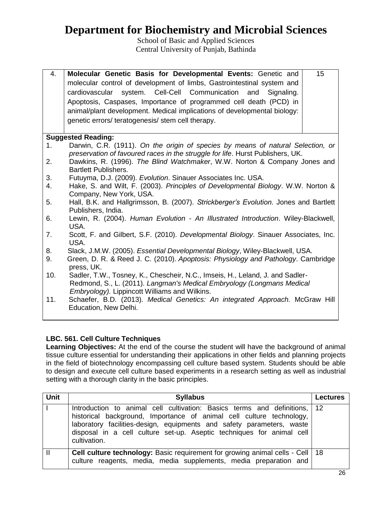School of Basic and Applied Sciences Central University of Punjab, Bathinda

| 4. | Molecular Genetic Basis for Developmental Events: Genetic and                                                                                                                                                                                                                                                                               | 15 |
|----|---------------------------------------------------------------------------------------------------------------------------------------------------------------------------------------------------------------------------------------------------------------------------------------------------------------------------------------------|----|
|    | molecular control of development of limbs, Gastrointestinal system and<br>cardiovascular system. Cell-Cell Communication and Signaling.<br>Apoptosis, Caspases, Importance of programmed cell death (PCD) in<br>animal/plant development. Medical implications of developmental biology:<br>genetic errors/teratogenesis/stem cell therapy. |    |
|    |                                                                                                                                                                                                                                                                                                                                             |    |
|    | <b>Suggested Reading:</b>                                                                                                                                                                                                                                                                                                                   |    |
|    |                                                                                                                                                                                                                                                                                                                                             |    |

- 1. Darwin, C.R. (1911). *On the origin of species by means of natural Selection, or preservation of favoured races in the struggle for life*. Hurst Publishers, UK.
- 2. Dawkins, R. (1996). *The Blind Watchmaker*, W.W. Norton & Company Jones and Bartlett Publishers.
- 3. Futuyma, D.J. (2009). *Evolution*. Sinauer Associates Inc. USA.
- 4. Hake, S. and Wilt, F. (2003). *Principles of Developmental Biology*. W.W. Norton & Company, New York, USA.
- 5. Hall, B.K. and Hallgrimsson, B. (2007). *Strickberger's Evolution.* Jones and Bartlett Publishers, India.
- 6. Lewin, R. (2004). *Human Evolution - An Illustrated Introduction*. Wiley-Blackwell, USA.
- 7. Scott, F. and Gilbert, S.F. (2010). *Developmental Biology*. Sinauer Associates, Inc. USA.
- 8. Slack, J.M.W. (2005). *Essential Developmental Biology*, Wiley-Blackwell, USA.
- 9. [Green,](http://www.amazon.com/s/ref=ntt_athr_dp_sr_1?_encoding=UTF8&field-author=Douglas%20R.%20Green&ie=UTF8&search-alias=books&sort=relevancerank) D. R. & [Reed](http://www.amazon.com/s/ref=ntt_athr_dp_sr_2?_encoding=UTF8&field-author=John%20C.%20Reed&ie=UTF8&search-alias=books&sort=relevancerank) J. C. (2010). *Apoptosis: Physiology and Pathology*. Cambridge press, UK.
- 10. Sadler, T.W., Tosney, K., Chescheir, N.C., Imseis, H., Leland, J. and Sadler- Redmond, S., L. (2011). *Langman's Medical Embryology (Longmans Medical Embryology).* Lippincott Williams and Wilkins.
- 11. Schaefer, B.D*.* (2013). *Medical Genetics: An integrated Approach.* McGraw Hill Education, New Delhi.

### **LBC. 561. Cell Culture Techniques**

**Learning Objectives:** At the end of the course the student will have the background of animal tissue culture essential for understanding their applications in other fields and planning projects in the field of biotechnology encompassing cell culture based system. Students should be able to design and execute cell culture based experiments in a research setting as well as industrial setting with a thorough clarity in the basic principles.

| <b>Unit</b>  | <b>Syllabus</b>                                                                                                                                                                                                                                                                                                     | <b>Lectures</b> |
|--------------|---------------------------------------------------------------------------------------------------------------------------------------------------------------------------------------------------------------------------------------------------------------------------------------------------------------------|-----------------|
|              | Introduction to animal cell cultivation: Basics terms and definitions, 12<br>historical background, Importance of animal cell culture technology,<br>laboratory facilities-design, equipments and safety parameters, waste<br>disposal in a cell culture set-up. Aseptic techniques for animal cell<br>cultivation. |                 |
| $\mathbf{I}$ | <b>Cell culture technology:</b> Basic requirement for growing animal cells - Cell   18<br>culture reagents, media, media supplements, media preparation and                                                                                                                                                         |                 |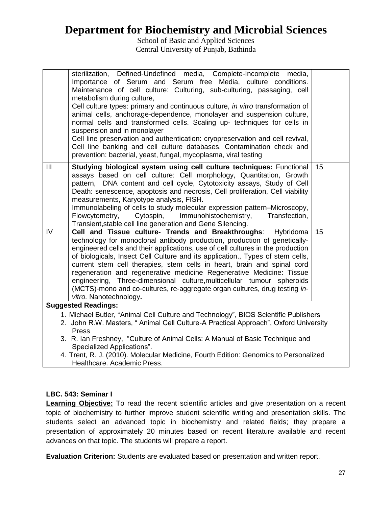School of Basic and Applied Sciences Central University of Punjab, Bathinda

|                | sterilization, Defined-Undefined media, Complete-Incomplete<br>media,<br>Importance of Serum and Serum free Media, culture conditions.<br>Maintenance of cell culture: Culturing, sub-culturing, passaging, cell<br>metabolism during culture,                                                                                                                                                                                                                                                                                                                                                                                                         |    |
|----------------|--------------------------------------------------------------------------------------------------------------------------------------------------------------------------------------------------------------------------------------------------------------------------------------------------------------------------------------------------------------------------------------------------------------------------------------------------------------------------------------------------------------------------------------------------------------------------------------------------------------------------------------------------------|----|
|                | Cell culture types: primary and continuous culture, in vitro transformation of<br>animal cells, anchorage-dependence, monolayer and suspension culture,<br>normal cells and transformed cells. Scaling up- techniques for cells in                                                                                                                                                                                                                                                                                                                                                                                                                     |    |
|                | suspension and in monolayer<br>Cell line preservation and authentication: cryopreservation and cell revival,<br>Cell line banking and cell culture databases. Contamination check and<br>prevention: bacterial, yeast, fungal, mycoplasma, viral testing                                                                                                                                                                                                                                                                                                                                                                                               |    |
| $\mathbf{III}$ | Studying biological system using cell culture techniques: Functional<br>assays based on cell culture: Cell morphology, Quantitation, Growth<br>pattern, DNA content and cell cycle, Cytotoxicity assays, Study of Cell<br>Death: senescence, apoptosis and necrosis, Cell proliferation, Cell viability<br>measurements, Karyotype analysis, FISH.<br>Immunolabeling of cells to study molecular expression pattern-Microscopy,<br>Immunohistochemistry,<br>Flowcytometry,<br>Cytospin,<br>Transfection,<br>Transient, stable cell line generation and Gene Silencing.                                                                                 | 15 |
| IV             | Cell and Tissue culture- Trends and Breakthroughs:<br>Hybridoma<br>technology for monoclonal antibody production, production of genetically-<br>engineered cells and their applications, use of cell cultures in the production<br>of biologicals, Insect Cell Culture and its application., Types of stem cells,<br>current stem cell therapies, stem cells in heart, brain and spinal cord<br>regeneration and regenerative medicine Regenerative Medicine: Tissue<br>engineering, Three-dimensional culture, multicellular tumour spheroids<br>(MCTS)-mono and co-cultures, re-aggregate organ cultures, drug testing in-<br>vitro. Nanotechnology. | 15 |
|                | <b>Suggested Readings:</b>                                                                                                                                                                                                                                                                                                                                                                                                                                                                                                                                                                                                                             |    |
|                | 1. Michael Butler, "Animal Cell Culture and Technology", BIOS Scientific Publishers<br>2. John R.W. Masters, "Animal Cell Culture-A Practical Approach", Oxford University<br>Press                                                                                                                                                                                                                                                                                                                                                                                                                                                                    |    |
|                | 3. R. Ian Freshney, "Culture of Animal Cells: A Manual of Basic Technique and<br>Specialized Applications".                                                                                                                                                                                                                                                                                                                                                                                                                                                                                                                                            |    |
|                | 4. Trent, R. J. (2010). Molecular Medicine, Fourth Edition: Genomics to Personalized<br>Healthcare. Academic Press.                                                                                                                                                                                                                                                                                                                                                                                                                                                                                                                                    |    |

### **LBC. 543: Seminar I**

**Learning Objective:** To read the recent scientific articles and give presentation on a recent topic of biochemistry to further improve student scientific writing and presentation skills. The students select an advanced topic in biochemistry and related fields; they prepare a presentation of approximately 20 minutes based on recent literature available and recent advances on that topic. The students will prepare a report.

**Evaluation Criterion:** Students are evaluated based on presentation and written report.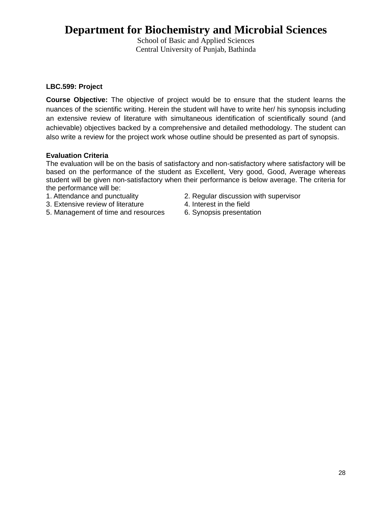School of Basic and Applied Sciences Central University of Punjab, Bathinda

### **LBC.599: Project**

**Course Objective:** The objective of project would be to ensure that the student learns the nuances of the scientific writing. Herein the student will have to write her/ his synopsis including an extensive review of literature with simultaneous identification of scientifically sound (and achievable) objectives backed by a comprehensive and detailed methodology. The student can also write a review for the project work whose outline should be presented as part of synopsis.

### **Evaluation Criteria**

The evaluation will be on the basis of satisfactory and non-satisfactory where satisfactory will be based on the performance of the student as Excellent, Very good, Good, Average whereas student will be given non-satisfactory when their performance is below average. The criteria for the performance will be:

- 
- 3. Extensive review of literature 4. Interest in the field
- 5. Management of time and resources 6. Synopsis presentation
- 1. Attendance and punctuality 2. Regular discussion with supervisor
	-
	-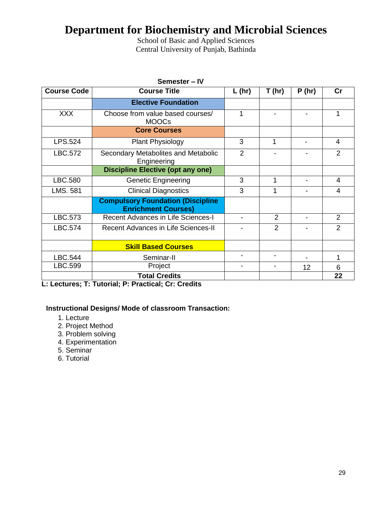School of Basic and Applied Sciences Central University of Punjab, Bathinda

| Semester - IV      |                                                                        |                |                |       |                |
|--------------------|------------------------------------------------------------------------|----------------|----------------|-------|----------------|
| <b>Course Code</b> | <b>Course Title</b>                                                    | $L$ (hr)       | T(hr)          | P(hr) | cr             |
|                    | <b>Elective Foundation</b>                                             |                |                |       |                |
| <b>XXX</b>         | Choose from value based courses/<br><b>MOOCs</b>                       | 1              |                |       | 1              |
|                    | <b>Core Courses</b>                                                    |                |                |       |                |
| LPS.524            | Plant Physiology                                                       | 3              | 1              |       | $\overline{4}$ |
| LBC.572            | Secondary Metabolites and Metabolic<br>Engineering                     | $\overline{2}$ |                |       | $\overline{2}$ |
|                    | <b>Discipline Elective (opt any one)</b>                               |                |                |       |                |
| LBC.580            | <b>Genetic Engineering</b>                                             | 3              | 1              |       | 4              |
| LMS. 581           | <b>Clinical Diagnostics</b>                                            | 3              | 1              |       | 4              |
|                    | <b>Compulsory Foundation (Discipline</b><br><b>Enrichment Courses)</b> |                |                |       |                |
| LBC.573            | <b>Recent Advances in Life Sciences-I</b>                              |                | 2              |       | 2              |
| LBC.574            | <b>Recent Advances in Life Sciences-II</b>                             |                | $\overline{2}$ |       | $\overline{2}$ |
|                    | <b>Skill Based Courses</b>                                             |                |                |       |                |
| LBC.544            | Seminar-II                                                             |                |                |       | 1              |
| LBC.599            | Project                                                                |                |                | 12    | 6              |
|                    | <b>Total Credits</b>                                                   |                |                |       | 22             |

**L: Lectures; T: Tutorial; P: Practical; Cr: Credits**

### **Instructional Designs/ Mode of classroom Transaction:**

- 1. Lecture
- 2. Project Method
- 3. Problem solving
- 4. Experimentation
- 5. Seminar
- 6. Tutorial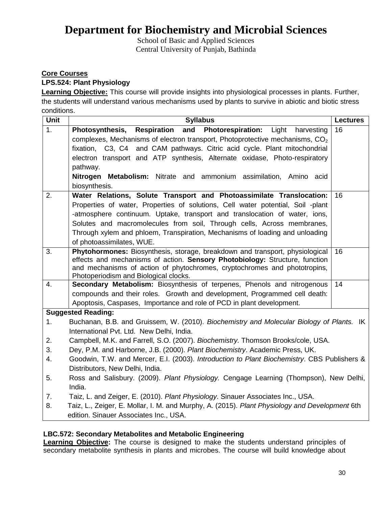School of Basic and Applied Sciences Central University of Punjab, Bathinda

### **Core Courses**

### **LPS.524: Plant Physiology**

**Learning Objective:** This course will provide insights into physiological processes in plants. Further, the students will understand various mechanisms used by plants to survive in abiotic and biotic stress conditions.

| <b>Unit</b> | <b>Syllabus</b>                                                                                                                                          | <b>Lectures</b> |
|-------------|----------------------------------------------------------------------------------------------------------------------------------------------------------|-----------------|
| 1.          | and Photorespiration:<br>Photosynthesis, Respiration<br>Light<br>harvesting                                                                              | 16              |
|             | complexes, Mechanisms of electron transport, Photoprotective mechanisms, $CO2$                                                                           |                 |
|             | fixation, C3, C4 and CAM pathways. Citric acid cycle. Plant mitochondrial                                                                                |                 |
|             | electron transport and ATP synthesis, Alternate oxidase, Photo-respiratory                                                                               |                 |
|             | pathway.                                                                                                                                                 |                 |
|             | Nitrogen Metabolism: Nitrate and ammonium assimilation, Amino acid                                                                                       |                 |
|             | biosynthesis.                                                                                                                                            |                 |
| 2.          | Water Relations, Solute Transport and Photoassimilate Translocation:                                                                                     | 16              |
|             | Properties of water, Properties of solutions, Cell water potential, Soil -plant                                                                          |                 |
|             | -atmosphere continuum. Uptake, transport and translocation of water, ions,                                                                               |                 |
|             | Solutes and macromolecules from soil, Through cells, Across membranes,                                                                                   |                 |
|             | Through xylem and phloem, Transpiration, Mechanisms of loading and unloading                                                                             |                 |
|             | of photoassimilates, WUE.                                                                                                                                |                 |
| 3.          | Phytohormones: Biosynthesis, storage, breakdown and transport, physiological                                                                             | 16              |
|             | effects and mechanisms of action. Sensory Photobiology: Structure, function<br>and mechanisms of action of phytochromes, cryptochromes and phototropins, |                 |
|             | Photoperiodism and Biological clocks.                                                                                                                    |                 |
| 4.          | Secondary Metabolism: Biosynthesis of terpenes, Phenols and nitrogenous                                                                                  | 14              |
|             | compounds and their roles. Growth and development, Programmed cell death:                                                                                |                 |
|             | Apoptosis, Caspases, Importance and role of PCD in plant development.                                                                                    |                 |
|             | <b>Suggested Reading:</b>                                                                                                                                |                 |
| 1.          | Buchanan, B.B. and Gruissem, W. (2010). Biochemistry and Molecular Biology of Plants. IK                                                                 |                 |
|             | International Pvt. Ltd. New Delhi, India.                                                                                                                |                 |
| 2.          | Campbell, M.K. and Farrell, S.O. (2007). Biochemistry. Thomson Brooks/cole, USA.                                                                         |                 |
| 3.          | Dey, P.M. and Harborne, J.B. (2000). Plant Biochemistry. Academic Press, UK.                                                                             |                 |
| 4.          | Goodwin, T.W. and Mercer, E.I. (2003). Introduction to Plant Biochemistry. CBS Publishers &                                                              |                 |
|             | Distributors, New Delhi, India.                                                                                                                          |                 |
| 5.          | Ross and Salisbury. (2009). Plant Physiology. Cengage Learning (Thompson), New Delhi,                                                                    |                 |
|             | India.                                                                                                                                                   |                 |
| 7.          | Taiz, L. and Zeiger, E. (2010). Plant Physiology. Sinauer Associates Inc., USA.                                                                          |                 |
| 8.          | Taiz, L., Zeiger, E. Mollar, I. M. and Murphy, A. (2015). Plant Physiology and Development 6th                                                           |                 |
|             | edition. Sinauer Associates Inc., USA.                                                                                                                   |                 |

### **LBC.572: Secondary Metabolites and Metabolic Engineering**

**Learning Objective:** The course is designed to make the students understand principles of secondary metabolite synthesis in plants and microbes. The course will build knowledge about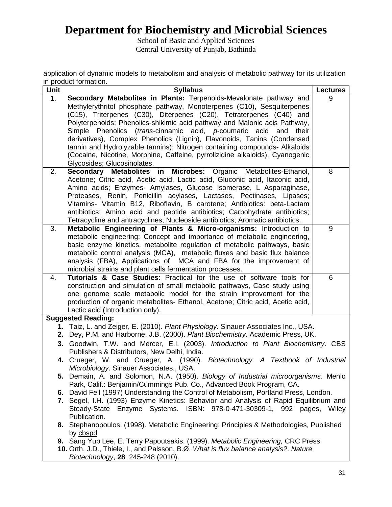School of Basic and Applied Sciences Central University of Punjab, Bathinda

application of dynamic models to metabolism and analysis of metabolic pathway for its utilization in product formation.

| Unit | <b>Syllabus</b>                                                                                                                                                         | <b>Lectures</b> |
|------|-------------------------------------------------------------------------------------------------------------------------------------------------------------------------|-----------------|
| 1.   | Secondary Metabolites in Plants: Terpenoids-Mevalonate pathway and                                                                                                      | 9               |
|      | Methylerythritol phosphate pathway, Monoterpenes (C10), Sesquiterpenes                                                                                                  |                 |
|      | (C15), Triterpenes (C30), Diterpenes (C20), Tetraterpenes (C40) and                                                                                                     |                 |
|      | Polyterpenoids; Phenolics-shikimic acid pathway and Malonic acis Pathway,                                                                                               |                 |
|      | Simple Phenolics (trans-cinnamic acid, p-coumaric acid<br>their<br>and                                                                                                  |                 |
|      | derivatives), Complex Phenolics (Lignin), Flavonoids, Tanins (Condensed                                                                                                 |                 |
|      | tannin and Hydrolyzable tannins); Nitrogen containing compounds- Alkaloids                                                                                              |                 |
|      | (Cocaine, Nicotine, Morphine, Caffeine, pyrrolizidine alkaloids), Cyanogenic                                                                                            |                 |
|      | Glycosides; Glucosinolates.                                                                                                                                             |                 |
| 2.   | Secondary Metabolites in Microbes: Organic Metabolites-Ethanol,                                                                                                         | 8               |
|      | Acetone; Citric acid, Acetic acid, Lactic acid, Gluconic acid, Itaconic acid,                                                                                           |                 |
|      | Amino acids; Enzymes- Amylases, Glucose Isomerase, L Asparaginase,                                                                                                      |                 |
|      | Proteases, Renin, Penicillin acylases, Lactases, Pectinases, Lipases;                                                                                                   |                 |
|      | Vitamins- Vitamin B12, Riboflavin, B carotene; Antibiotics: beta-Lactam                                                                                                 |                 |
|      | antibiotics; Amino acid and peptide antibiotics; Carbohydrate antibiotics;                                                                                              |                 |
|      | Tetracycline and antracyclines; Nucleoside antibiotics; Aromatic antibiotics.                                                                                           |                 |
| 3.   | Metabolic Engineering of Plants & Micro-organisms: Introduction to                                                                                                      | 9               |
|      | metabolic engineering: Concept and importance of metabolic engineering,                                                                                                 |                 |
|      | basic enzyme kinetics, metabolite regulation of metabolic pathways, basic                                                                                               |                 |
|      | metabolic control analysis (MCA), metabolic fluxes and basic flux balance                                                                                               |                 |
|      | analysis (FBA), Applications of MCA and FBA for the improvement of                                                                                                      |                 |
|      | microbial strains and plant cells fermentation processes.                                                                                                               |                 |
| 4.   | Tutorials & Case Studies: Practical for the use of software tools for                                                                                                   | 6               |
|      | construction and simulation of small metabolic pathways, Case study using                                                                                               |                 |
|      | one genome scale metabolic model for the strain improvement for the                                                                                                     |                 |
|      | production of organic metabolites- Ethanol, Acetone; Citric acid, Acetic acid,                                                                                          |                 |
|      | Lactic acid (Introduction only).                                                                                                                                        |                 |
|      | <b>Suggested Reading:</b>                                                                                                                                               |                 |
|      | 1. Taiz, L. and Zeiger, E. (2010). Plant Physiology. Sinauer Associates Inc., USA.                                                                                      |                 |
|      | 2. Dey, P.M. and Harborne, J.B. (2000). Plant Biochemistry. Academic Press, UK.                                                                                         |                 |
|      | 3. Goodwin, T.W. and Mercer, E.I. (2003). Introduction to Plant Biochemistry. CBS                                                                                       |                 |
|      | Publishers & Distributors, New Delhi, India.                                                                                                                            |                 |
|      | 4. Crueger, W. and Crueger, A. (1990). Biotechnology. A Textbook of Industrial                                                                                          |                 |
|      | Microbiology. Sinauer Associates., USA.                                                                                                                                 |                 |
|      | 5. Demain, A. and Solomon, N.A. (1950). Biology of Industrial microorganisms. Menlo                                                                                     |                 |
|      | Park, Calif.: Benjamin/Cummings Pub. Co., Advanced Book Program, CA.                                                                                                    |                 |
|      | 6. David Fell (1997) Understanding the Control of Metabolism, Portland Press, London.                                                                                   |                 |
|      | 7. Segel, I.H. (1993) Enzyme Kinetics: Behavior and Analysis of Rapid Equilibrium and                                                                                   |                 |
|      | Steady-State Enzyme Systems. ISBN: 978-0-471-30309-1, 992 pages, Wiley                                                                                                  |                 |
|      | Publication.                                                                                                                                                            |                 |
|      | 8. Stephanopoulos. (1998). Metabolic Engineering: Principles & Methodologies, Published                                                                                 |                 |
|      | by cbspd                                                                                                                                                                |                 |
|      | 9. Sang Yup Lee, E. Terry Papoutsakis. (1999). Metabolic Engineering, CRC Press<br>10. Orth, J.D., Thiele, I., and Palsson, B.Ø. What is flux balance analysis?. Nature |                 |
|      | Biotechnology, 28: 245-248 (2010).                                                                                                                                      |                 |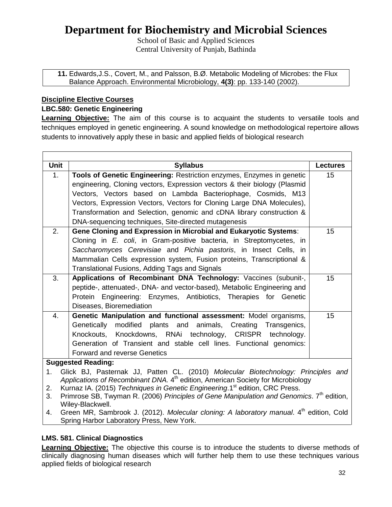School of Basic and Applied Sciences Central University of Punjab, Bathinda

**11.** Edwards,J.S., Covert, M., and Palsson, B.Ø. Metabolic Modeling of Microbes: the Flux Balance Approach. Environmental Microbiology, **4(3)**: pp. 133-140 (2002).

### **Discipline Elective Courses**

### **LBC.580: Genetic Engineering**

**Learning Objective:** The aim of this course is to acquaint the students to versatile tools and techniques employed in genetic engineering. A sound knowledge on methodological repertoire allows students to innovatively apply these in basic and applied fields of biological research

| <b>Unit</b>                                                                                                | <b>Syllabus</b>                                                           | <b>Lectures</b> |
|------------------------------------------------------------------------------------------------------------|---------------------------------------------------------------------------|-----------------|
| 1 <sub>1</sub>                                                                                             | Tools of Genetic Engineering: Restriction enzymes, Enzymes in genetic     | 15              |
|                                                                                                            | engineering, Cloning vectors, Expression vectors & their biology (Plasmid |                 |
|                                                                                                            | Vectors, Vectors based on Lambda Bacteriophage, Cosmids, M13              |                 |
|                                                                                                            | Vectors, Expression Vectors, Vectors for Cloning Large DNA Molecules),    |                 |
|                                                                                                            | Transformation and Selection, genomic and cDNA library construction &     |                 |
|                                                                                                            | DNA-sequencing techniques, Site-directed mutagenesis                      |                 |
| 2.                                                                                                         | Gene Cloning and Expression in Microbial and Eukaryotic Systems:          | 15              |
|                                                                                                            | Cloning in E. coli, in Gram-positive bacteria, in Streptomycetes, in      |                 |
|                                                                                                            | Saccharomyces Cerevisiae and Pichia pastoris, in Insect Cells, in         |                 |
|                                                                                                            | Mammalian Cells expression system, Fusion proteins, Transcriptional &     |                 |
|                                                                                                            | Translational Fusions, Adding Tags and Signals                            |                 |
| 3.                                                                                                         | Applications of Recombinant DNA Technology: Vaccines (subunit-,           | 15              |
|                                                                                                            | peptide-, attenuated-, DNA- and vector-based), Metabolic Engineering and  |                 |
|                                                                                                            | Protein Engineering: Enzymes, Antibiotics, Therapies for Genetic          |                 |
|                                                                                                            | Diseases, Bioremediation                                                  |                 |
| 4.                                                                                                         | Genetic Manipulation and functional assessment: Model organisms,          | 15              |
|                                                                                                            | modified plants and animals,<br>Creating<br>Genetically<br>Transgenics,   |                 |
|                                                                                                            | Knockouts, Knockdowns, RNAi technology, CRISPR technology.                |                 |
|                                                                                                            | Generation of Transient and stable cell lines. Functional genomics:       |                 |
|                                                                                                            | <b>Forward and reverse Genetics</b>                                       |                 |
|                                                                                                            | <b>Suggested Reading:</b>                                                 |                 |
| Glick BJ, Pasternak JJ, Patten CL. (2010) Molecular Biotechnology: Principles and<br>1.                    |                                                                           |                 |
| Applications of Recombinant DNA. 4 <sup>th</sup> edition, American Society for Microbiology                |                                                                           |                 |
| Kurnaz IA. (2015) Techniques in Genetic Engineering.1 <sup>st</sup> edition, CRC Press.<br>2.              |                                                                           |                 |
| Primrose SB, Twyman R. (2006) Principles of Gene Manipulation and Genomics. 7 <sup>th</sup> edition,<br>3. |                                                                           |                 |
| Wiley-Blackwell.                                                                                           |                                                                           |                 |

4. Green MR, Sambrook J. (2012). *Molecular cloning: A laboratory manual*. 4<sup>th</sup> edition, Cold Spring Harbor Laboratory Press, New York.

### **LMS. 581. Clinical Diagnostics**

**Learning Objective:** The objective this course is to introduce the students to diverse methods of clinically diagnosing human diseases which will further help them to use these techniques various applied fields of biological research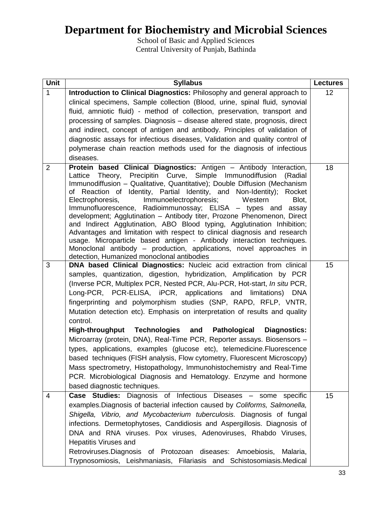School of Basic and Applied Sciences Central University of Punjab, Bathinda

| Unit           | <b>Syllabus</b>                                                                                                                                                                                                                                                                                                                                                                                                                                                                                                                                                                                                                                                                                                                                                                                                                                                    | <b>Lectures</b> |
|----------------|--------------------------------------------------------------------------------------------------------------------------------------------------------------------------------------------------------------------------------------------------------------------------------------------------------------------------------------------------------------------------------------------------------------------------------------------------------------------------------------------------------------------------------------------------------------------------------------------------------------------------------------------------------------------------------------------------------------------------------------------------------------------------------------------------------------------------------------------------------------------|-----------------|
| $\mathbf{1}$   | Introduction to Clinical Diagnostics: Philosophy and general approach to                                                                                                                                                                                                                                                                                                                                                                                                                                                                                                                                                                                                                                                                                                                                                                                           | 12              |
|                | clinical specimens, Sample collection (Blood, urine, spinal fluid, synovial                                                                                                                                                                                                                                                                                                                                                                                                                                                                                                                                                                                                                                                                                                                                                                                        |                 |
|                | fluid, amniotic fluid) - method of collection, preservation, transport and                                                                                                                                                                                                                                                                                                                                                                                                                                                                                                                                                                                                                                                                                                                                                                                         |                 |
|                | processing of samples. Diagnosis – disease altered state, prognosis, direct                                                                                                                                                                                                                                                                                                                                                                                                                                                                                                                                                                                                                                                                                                                                                                                        |                 |
|                | and indirect, concept of antigen and antibody. Principles of validation of                                                                                                                                                                                                                                                                                                                                                                                                                                                                                                                                                                                                                                                                                                                                                                                         |                 |
|                | diagnostic assays for infectious diseases, Validation and quality control of                                                                                                                                                                                                                                                                                                                                                                                                                                                                                                                                                                                                                                                                                                                                                                                       |                 |
|                | polymerase chain reaction methods used for the diagnosis of infectious                                                                                                                                                                                                                                                                                                                                                                                                                                                                                                                                                                                                                                                                                                                                                                                             |                 |
|                | diseases.                                                                                                                                                                                                                                                                                                                                                                                                                                                                                                                                                                                                                                                                                                                                                                                                                                                          |                 |
| $\overline{2}$ | Protein based Clinical Diagnostics: Antigen - Antibody Interaction,<br>Lattice Theory, Precipitin Curve, Simple Immunodiffusion (Radial<br>Immunodiffusion - Qualitative, Quantitative); Double Diffusion (Mechanism<br>of Reaction of Identity, Partial Identity, and Non-Identity); Rocket<br>Electrophoresis,<br>Immunoelectrophoresis;<br>Western<br>Blot,<br>Immunofluorescence, Radioimmunossay; ELISA - types and<br>assay<br>development; Agglutination - Antibody titer, Prozone Phenomenon, Direct<br>and Indirect Agglutination, ABO Blood typing, Agglutination Inhibition;<br>Advantages and limitation with respect to clinical diagnosis and research<br>usage. Microparticle based antigen - Antibody interaction techniques.<br>Monoclonal antibody – production, applications, novel approaches in<br>detection, Humanized monoclonal antibodies | 18              |
| 3              | DNA based Clinical Diagnostics: Nucleic acid extraction from clinical                                                                                                                                                                                                                                                                                                                                                                                                                                                                                                                                                                                                                                                                                                                                                                                              | 15              |
|                | samples, quantization, digestion, hybridization, Amplification by PCR<br>(Inverse PCR, Multiplex PCR, Nested PCR, Alu-PCR, Hot-start, In situ PCR,<br>Long-PCR, PCR-ELISA, iPCR, applications and<br>limitations)<br><b>DNA</b><br>fingerprinting and polymorphism studies (SNP, RAPD, RFLP, VNTR,<br>Mutation detection etc). Emphasis on interpretation of results and quality<br>control.                                                                                                                                                                                                                                                                                                                                                                                                                                                                       |                 |
|                | Technologies<br><b>High-throughput</b><br>and Pathological<br><b>Diagnostics:</b>                                                                                                                                                                                                                                                                                                                                                                                                                                                                                                                                                                                                                                                                                                                                                                                  |                 |
|                | Microarray (protein, DNA), Real-Time PCR, Reporter assays. Biosensors -<br>types, applications, examples (glucose etc), telemedicine. Fluorescence<br>based techniques (FISH analysis, Flow cytometry, Fluorescent Microscopy)<br>Mass spectrometry, Histopathology, Immunohistochemistry and Real-Time<br>PCR. Microbiological Diagnosis and Hematology. Enzyme and hormone<br>based diagnostic techniques.                                                                                                                                                                                                                                                                                                                                                                                                                                                       |                 |
| 4              | Case Studies: Diagnosis of Infectious Diseases - some<br>specific                                                                                                                                                                                                                                                                                                                                                                                                                                                                                                                                                                                                                                                                                                                                                                                                  | 15              |
|                | examples. Diagnosis of bacterial infection caused by Coliforms, Salmonella,<br>Shigella, Vibrio, and Mycobacterium tuberculosis. Diagnosis of fungal<br>infections. Dermetophytoses, Candidiosis and Aspergillosis. Diagnosis of<br>DNA and RNA viruses. Pox viruses, Adenoviruses, Rhabdo Viruses,<br><b>Hepatitis Viruses and</b><br>Retroviruses. Diagnosis of Protozoan diseases: Amoebiosis,<br>Malaria,                                                                                                                                                                                                                                                                                                                                                                                                                                                      |                 |
|                | Trypnosomiosis, Leishmaniasis, Filariasis and Schistosomiasis.Medical                                                                                                                                                                                                                                                                                                                                                                                                                                                                                                                                                                                                                                                                                                                                                                                              |                 |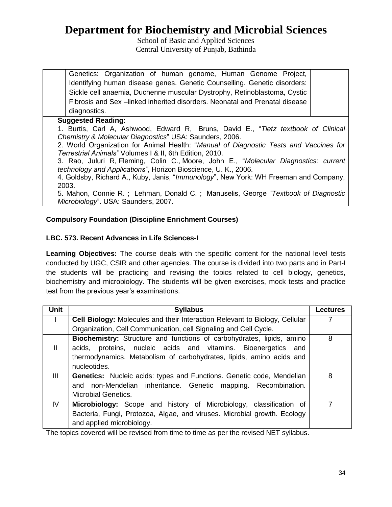School of Basic and Applied Sciences Central University of Punjab, Bathinda

Genetics: Organization of human genome, Human Genome Project, Identifying human disease genes. Genetic Counselling. Genetic disorders: Sickle cell anaemia, Duchenne muscular Dystrophy, Retinoblastoma, Cystic Fibrosis and Sex –linked inherited disorders. Neonatal and Prenatal disease diagnostics.

### **Suggested Reading:**

1. Burtis, Carl A, Ashwood, Edward R, Bruns, David E., "*Tietz textbook of Clinical Chemistry & Molecular Diagnostics*" USA: Saunders, 2006.

2. World Organization for Animal Health: "*Manual of Diagnostic Tests and Vaccines for Terrestrial Animals"* Volumes I & II, 6th Edition, 2010.

3. Rao, Juluri R, Fleming, Colin C., Moore, John E., "*Molecular Diagnostics: current technology and Applications"*, Horizon Bioscience, U. K., 2006.

4. Goldsby, Richard A., Kuby, Janis, "*Immunology*", New York: WH Freeman and Company, 2003.

5. Mahon, Connie R. ; Lehman, Donald C. ; Manuselis, George "*Textbook of Diagnostic Microbiology*". USA: Saunders, 2007.

### **Compulsory Foundation (Discipline Enrichment Courses)**

### **LBC. 573. Recent Advances in Life Sciences-I**

Learning Objectives: The course deals with the specific content for the national level tests conducted by UGC, CSIR and other agencies. The course is divided into two parts and in Part-I the students will be practicing and revising the topics related to cell biology, genetics, biochemistry and microbiology. The students will be given exercises, mock tests and practice test from the previous year's examinations.

| <b>Unit</b> | <b>Syllabus</b>                                                                                                                                                                                                                 | <b>Lectures</b> |
|-------------|---------------------------------------------------------------------------------------------------------------------------------------------------------------------------------------------------------------------------------|-----------------|
|             | Cell Biology: Molecules and their Interaction Relevant to Biology, Cellular                                                                                                                                                     |                 |
|             | Organization, Cell Communication, cell Signaling and Cell Cycle.                                                                                                                                                                |                 |
| Ш           | Biochemistry: Structure and functions of carbohydrates, lipids, amino<br>acids, proteins, nucleic acids and vitamins. Bioenergetics and<br>thermodynamics. Metabolism of carbohydrates, lipids, amino acids and<br>nucleotides. | 8               |
| III         | <b>Genetics:</b> Nucleic acids: types and Functions. Genetic code, Mendelian<br>and non-Mendelian inheritance. Genetic mapping. Recombination.<br><b>Microbial Genetics.</b>                                                    | 8               |
| IV          | Microbiology: Scope and history of Microbiology, classification of<br>Bacteria, Fungi, Protozoa, Algae, and viruses. Microbial growth. Ecology<br>and applied microbiology.                                                     |                 |

The topics covered will be revised from time to time as per the revised NET syllabus.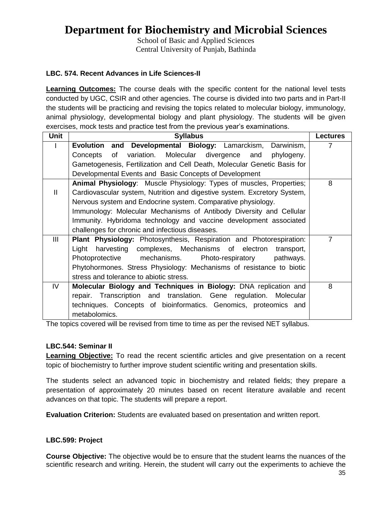School of Basic and Applied Sciences Central University of Punjab, Bathinda

### **LBC. 574. Recent Advances in Life Sciences-II**

**Learning Outcomes:** The course deals with the specific content for the national level tests conducted by UGC, CSIR and other agencies. The course is divided into two parts and in Part-II the students will be practicing and revising the topics related to molecular biology, immunology, animal physiology, developmental biology and plant physiology. The students will be given exercises, mock tests and practice test from the previous year's examinations.

| <b>Unit</b>  | <b>Syllabus</b>                                                            | <b>Lectures</b> |
|--------------|----------------------------------------------------------------------------|-----------------|
|              | Developmental Biology: Lamarckism, Darwinism,<br><b>Evolution and</b>      | 7               |
|              | variation. Molecular divergence and<br>of<br>phylogeny.<br>Concepts        |                 |
|              | Gametogenesis, Fertilization and Cell Death, Molecular Genetic Basis for   |                 |
|              | Developmental Events and Basic Concepts of Development                     |                 |
|              | Animal Physiology: Muscle Physiology: Types of muscles, Properties;        | 8               |
| $\mathbf{H}$ | Cardiovascular system, Nutrition and digestive system. Excretory System,   |                 |
|              | Nervous system and Endocrine system. Comparative physiology.               |                 |
|              | Immunology: Molecular Mechanisms of Antibody Diversity and Cellular        |                 |
|              | Immunity. Hybridoma technology and vaccine development associated          |                 |
|              | challenges for chronic and infectious diseases.                            |                 |
| III          | <b>Plant Physiology:</b> Photosynthesis, Respiration and Photorespiration: | $\overline{7}$  |
|              | harvesting complexes, Mechanisms of electron<br>Light<br>transport,        |                 |
|              | mechanisms.<br>Photoprotective<br>Photo-respiratory<br>pathways.           |                 |
|              | Phytohormones. Stress Physiology: Mechanisms of resistance to biotic       |                 |
|              | stress and tolerance to abiotic stress.                                    |                 |
| IV.          | Molecular Biology and Techniques in Biology: DNA replication and           | 8               |
|              | repair. Transcription and translation. Gene regulation. Molecular          |                 |
|              | techniques. Concepts of bioinformatics. Genomics, proteomics and           |                 |
|              | metabolomics.                                                              |                 |

The topics covered will be revised from time to time as per the revised NET syllabus.

### **LBC.544: Seminar II**

**Learning Objective:** To read the recent scientific articles and give presentation on a recent topic of biochemistry to further improve student scientific writing and presentation skills.

The students select an advanced topic in biochemistry and related fields; they prepare a presentation of approximately 20 minutes based on recent literature available and recent advances on that topic. The students will prepare a report.

**Evaluation Criterion:** Students are evaluated based on presentation and written report.

### **LBC.599: Project**

**Course Objective:** The objective would be to ensure that the student learns the nuances of the scientific research and writing. Herein, the student will carry out the experiments to achieve the